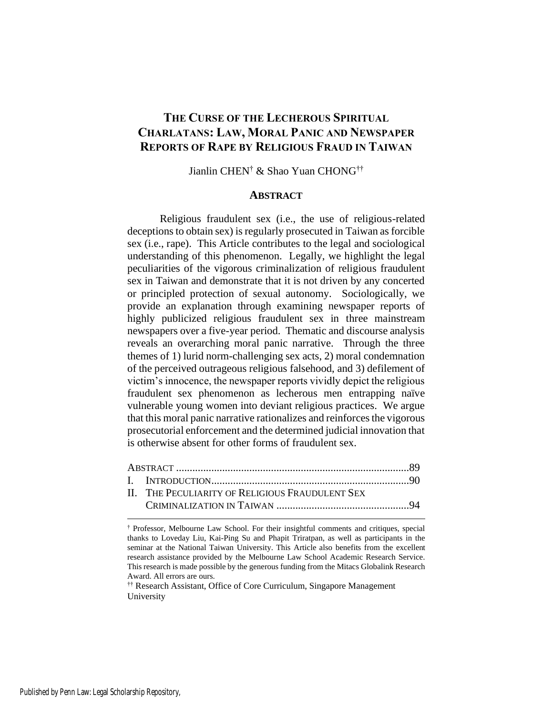# **THE CURSE OF THE LECHEROUS SPIRITUAL CHARLATANS: LAW, MORAL PANIC AND NEWSPAPER REPORTS OF RAPE BY RELIGIOUS FRAUD IN TAIWAN**

Jianlin CHEN† & Shao Yuan CHONG††

### **ABSTRACT**

Religious fraudulent sex (i.e., the use of religious-related deceptions to obtain sex) is regularly prosecuted in Taiwan as forcible sex (i.e., rape). This Article contributes to the legal and sociological understanding of this phenomenon. Legally, we highlight the legal peculiarities of the vigorous criminalization of religious fraudulent sex in Taiwan and demonstrate that it is not driven by any concerted or principled protection of sexual autonomy. Sociologically, we provide an explanation through examining newspaper reports of highly publicized religious fraudulent sex in three mainstream newspapers over a five-year period. Thematic and discourse analysis reveals an overarching moral panic narrative. Through the three themes of 1) lurid norm-challenging sex acts, 2) moral condemnation of the perceived outrageous religious falsehood, and 3) defilement of victim's innocence, the newspaper reports vividly depict the religious fraudulent sex phenomenon as lecherous men entrapping naïve vulnerable young women into deviant religious practices. We argue that this moral panic narrative rationalizes and reinforces the vigorous prosecutorial enforcement and the determined judicial innovation that is otherwise absent for other forms of fraudulent sex.

| II. THE PECULIARITY OF RELIGIOUS FRAUDULENT SEX |  |
|-------------------------------------------------|--|
|                                                 |  |
|                                                 |  |

†† Research Assistant, Office of Core Curriculum, Singapore Management University

<sup>†</sup> Professor, Melbourne Law School. For their insightful comments and critiques, special thanks to Loveday Liu, Kai-Ping Su and Phapit Triratpan, as well as participants in the seminar at the National Taiwan University. This Article also benefits from the excellent research assistance provided by the Melbourne Law School Academic Research Service. This research is made possible by the generous funding from the Mitacs Globalink Research Award. All errors are ours.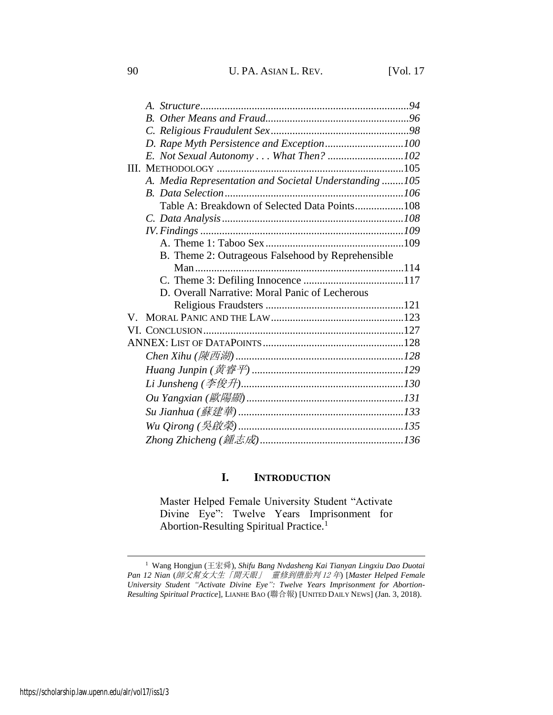| A. Media Representation and Societal Understanding 105 |  |
|--------------------------------------------------------|--|
|                                                        |  |
| Table A: Breakdown of Selected Data Points108          |  |
|                                                        |  |
|                                                        |  |
|                                                        |  |
| B. Theme 2: Outrageous Falsehood by Reprehensible      |  |
|                                                        |  |
|                                                        |  |
| D. Overall Narrative: Moral Panic of Lecherous         |  |
|                                                        |  |
| V –                                                    |  |
|                                                        |  |
|                                                        |  |
|                                                        |  |
|                                                        |  |
|                                                        |  |
|                                                        |  |
|                                                        |  |
|                                                        |  |
|                                                        |  |

# <span id="page-1-0"></span>**I. INTRODUCTION**

Master Helped Female University Student "Activate Divine Eye": Twelve Years Imprisonment for Abortion-Resulting Spiritual Practice.<sup>1</sup>

<sup>1</sup> Wang Hongjun (王宏舜), *Shifu Bang Nvdasheng Kai Tianyan Lingxiu Dao Duotai Pan 12 Nian* (師父幫女大生「開天眼」 靈修到墮胎判 <sup>12</sup> 年) [*Master Helped Female University Student "Activate Divine Eye": Twelve Years Imprisonment for Abortion-Resulting Spiritual Practice*], LIANHE BAO (聯合報) [UNITED DAILY NEWS] (Jan. 3, 2018).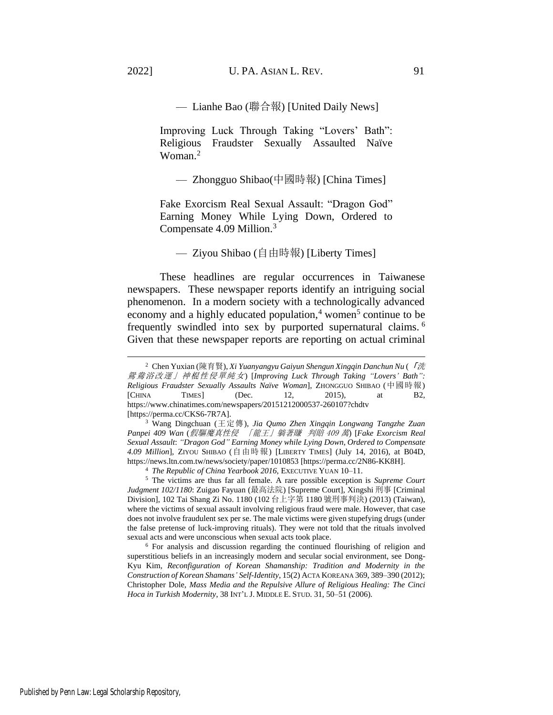— Lianhe Bao (聯合報) [United Daily News]

Improving Luck Through Taking "Lovers' Bath": Religious Fraudster Sexually Assaulted Naïve Woman $^2$ 

— Zhongguo Shibao(中國時報) [China Times]

Fake Exorcism Real Sexual Assault: "Dragon God" Earning Money While Lying Down, Ordered to Compensate 4.09 Million.<sup>3</sup>

<span id="page-2-0"></span>— Ziyou Shibao (自由時報) [Liberty Times]

These headlines are regular occurrences in Taiwanese newspapers. These newspaper reports identify an intriguing social phenomenon. In a modern society with a technologically advanced economy and a highly educated population,<sup>4</sup> women<sup>5</sup> continue to be frequently swindled into sex by purported supernatural claims. <sup>6</sup> Given that these newspaper reports are reporting on actual criminal

<sup>4</sup> *The Republic of China Yearbook 2016*, EXECUTIVE YUAN 10–11.

<sup>5</sup> The victims are thus far all female. A rare possible exception is *Supreme Court Judgment 102/1180*: Zuigao Fayuan (最高法院) [Supreme Court], Xingshi 刑事 [Criminal Division], 102 Tai Shang Zi No. 1180 (102 台上字第 1180 號刑事判決) (2013) (Taiwan), where the victims of sexual assault involving religious fraud were male. However, that case does not involve fraudulent sex per se. The male victims were given stupefying drugs (under the false pretense of luck-improving rituals). They were not told that the rituals involved sexual acts and were unconscious when sexual acts took place.

<sup>6</sup> For analysis and discussion regarding the continued flourishing of religion and superstitious beliefs in an increasingly modern and secular social environment, see Dong-Kyu Kim, *Reconfiguration of Korean Shamanship: Tradition and Modernity in the Construction of Korean Shamans' Self-Identity*, 15(2) ACTA KOREANA 369, 389–390 (2012); Christopher Dole, *Mass Media and the Repulsive Allure of Religious Healing: The Cinci Hoca in Turkish Modernity*, 38 INT'L J. MIDDLE E. STUD. 31, 50–51 (2006).

<sup>2</sup> Chen Yuxian (陳育賢), *Xi Yuanyangyu Gaiyun Shengun Xingqin Danchun Nu* (「洗 鴛鴦浴改運」神棍性侵單純女) [*Improving Luck Through Taking "Lovers' Bath": Religious Fraudster Sexually Assaults Naïve Woman*], ZHONGGUO SHIBAO (中國時報) [CHINA TIMES] (Dec. 12, 2015), at B2, https://www.chinatimes.com/newspapers/20151212000537-260107?chdtv [https://perma.cc/CKS6-7R7A].

<sup>3</sup> Wang Dingchuan (王定傳), *Jia Qumo Zhen Xingqin Longwang Tangzhe Zuan Panpei 409 Wan* (假驅魔真性侵 「龍王」躺著賺 判賠 <sup>409</sup> 萬) [*Fake Exorcism Real Sexual Assault*: *"Dragon God" Earning Money while Lying Down, Ordered to Compensate 4.09 Million*], ZIYOU SHIBAO (自由時報) [LIBERTY TIMES] (July 14, 2016), at B04D, https://news.ltn.com.tw/news/society/paper/1010853 [https://perma.cc/2N86-KK8H].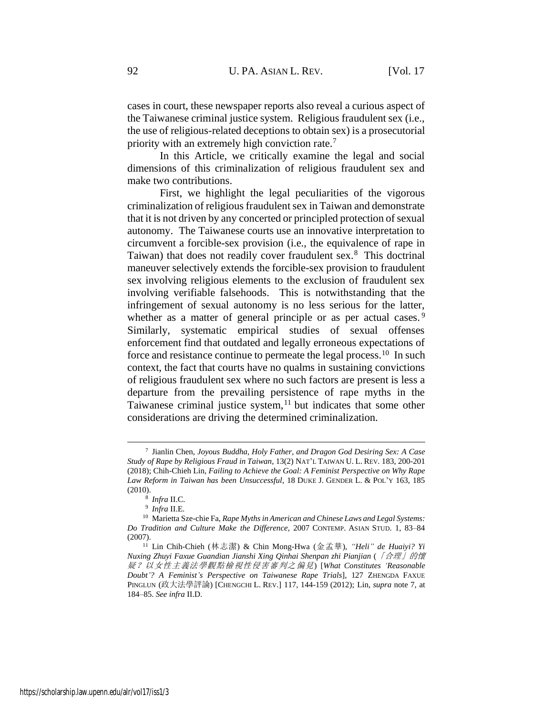cases in court, these newspaper reports also reveal a curious aspect of the Taiwanese criminal justice system. Religious fraudulent sex (i.e., the use of religious-related deceptions to obtain sex) is a prosecutorial priority with an extremely high conviction rate.<sup>7</sup>

<span id="page-3-0"></span>In this Article, we critically examine the legal and social dimensions of this criminalization of religious fraudulent sex and make two contributions.

First, we highlight the legal peculiarities of the vigorous criminalization of religious fraudulent sex in Taiwan and demonstrate that it is not driven by any concerted or principled protection of sexual autonomy. The Taiwanese courts use an innovative interpretation to circumvent a forcible-sex provision (i.e., the equivalence of rape in Taiwan) that does not readily cover fraudulent sex.<sup>8</sup> This doctrinal maneuver selectively extends the forcible-sex provision to fraudulent sex involving religious elements to the exclusion of fraudulent sex involving verifiable falsehoods. This is notwithstanding that the infringement of sexual autonomy is no less serious for the latter, whether as a matter of general principle or as per actual cases.<sup>9</sup> Similarly, systematic empirical studies of sexual offenses enforcement find that outdated and legally erroneous expectations of force and resistance continue to permeate the legal process.<sup>10</sup> In such context, the fact that courts have no qualms in sustaining convictions of religious fraudulent sex where no such factors are present is less a departure from the prevailing persistence of rape myths in the Taiwanese criminal justice system,<sup>11</sup> but indicates that some other considerations are driving the determined criminalization.

<span id="page-3-2"></span><span id="page-3-1"></span><sup>7</sup> Jianlin Chen, *Joyous Buddha, Holy Father, and Dragon God Desiring Sex: A Case Study of Rape by Religious Fraud in Taiwan*, 13(2) NAT'L TAIWAN U. L. REV. 183, 200-201 (2018); Chih-Chieh Lin, *Failing to Achieve the Goal: A Feminist Perspective on Why Rape Law Reform in Taiwan has been Unsuccessful*, 18 DUKE J. GENDER L. & POL'Y 163, 185 (2010).

<sup>8</sup> *Infra* II.C.

<sup>9</sup> *Infra* II.E.

<sup>10</sup> Marietta Sze-chie Fa, *Rape Myths in American and Chinese Laws and Legal Systems: Do Tradition and Culture Make the Difference*, 2007 CONTEMP. ASIAN STUD. 1, 83–84 (2007).

<sup>11</sup> Lin Chih-Chieh (林志潔) & Chin Mong-Hwa (金孟華), *"Heli" de Huaiyi? Yi Nuxing Zhuyi Faxue Guandian Jianshi Xing Qinhai Shenpan zhi Pianjian* (「合理」的懷 疑?以女性主義法學觀點檢視性侵害審判之偏見) [*What Constitutes 'Reasonable Doubt'? A Feminist's Perspective on Taiwanese Rape Trials*], 127 ZHENGDA FAXUE PINGLUN (政大法學評論) [CHENGCHI L. REV.] 117, 144-159 (2012); Lin, *supra* note [7,](#page-3-0) at 184–85. *See infra* II.D.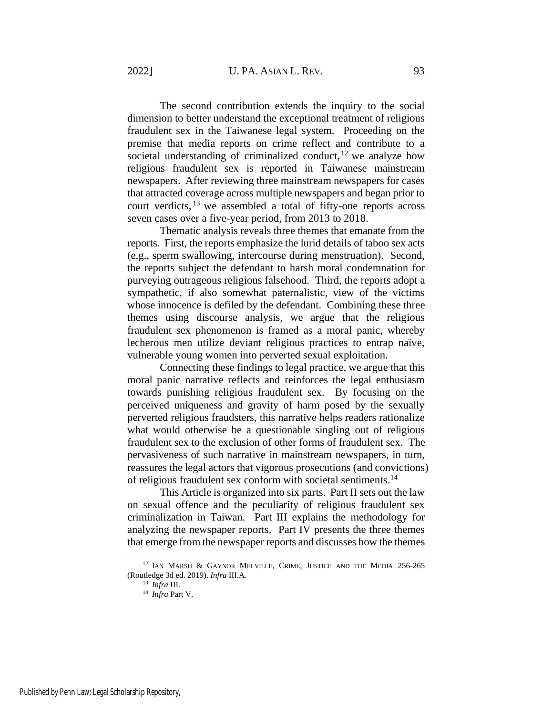<span id="page-4-0"></span>The second contribution extends the inquiry to the social dimension to better understand the exceptional treatment of religious fraudulent sex in the Taiwanese legal system. Proceeding on the premise that media reports on crime reflect and contribute to a societal understanding of criminalized conduct,  $12$  we analyze how religious fraudulent sex is reported in Taiwanese mainstream newspapers. After reviewing three mainstream newspapers for cases that attracted coverage across multiple newspapers and began prior to court verdicts, <sup>13</sup> we assembled a total of fifty-one reports across seven cases over a five-year period, from 2013 to 2018.

Thematic analysis reveals three themes that emanate from the reports. First, the reports emphasize the lurid details of taboo sex acts (e.g., sperm swallowing, intercourse during menstruation). Second, the reports subject the defendant to harsh moral condemnation for purveying outrageous religious falsehood. Third, the reports adopt a sympathetic, if also somewhat paternalistic, view of the victims whose innocence is defiled by the defendant. Combining these three themes using discourse analysis, we argue that the religious fraudulent sex phenomenon is framed as a moral panic, whereby lecherous men utilize deviant religious practices to entrap naïve, vulnerable young women into perverted sexual exploitation.

Connecting these findings to legal practice, we argue that this moral panic narrative reflects and reinforces the legal enthusiasm towards punishing religious fraudulent sex. By focusing on the perceived uniqueness and gravity of harm posed by the sexually perverted religious fraudsters, this narrative helps readers rationalize what would otherwise be a questionable singling out of religious fraudulent sex to the exclusion of other forms of fraudulent sex. The pervasiveness of such narrative in mainstream newspapers, in turn, reassures the legal actors that vigorous prosecutions (and convictions) of religious fraudulent sex conform with societal sentiments.<sup>14</sup>

This Article is organized into six parts. Part II sets out the law on sexual offence and the peculiarity of religious fraudulent sex criminalization in Taiwan. Part III explains the methodology for analyzing the newspaper reports. Part IV presents the three themes that emerge from the newspaper reports and discusses how the themes

<sup>12</sup> IAN MARSH & GAYNOR MELVILLE, CRIME, JUSTICE AND THE MEDIA 256-265 (Routledge 3d ed. 2019). *Infra* III.A.

<sup>13</sup> *Infra* III.

<sup>14</sup> *Infra* Part V.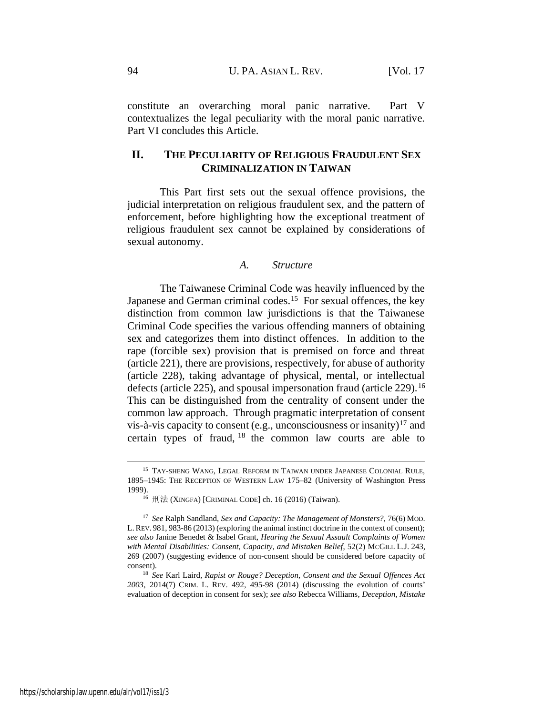constitute an overarching moral panic narrative. Part V contextualizes the legal peculiarity with the moral panic narrative. Part VI concludes this Article.

# **II. THE PECULIARITY OF RELIGIOUS FRAUDULENT SEX CRIMINALIZATION IN TAIWAN**

This Part first sets out the sexual offence provisions, the judicial interpretation on religious fraudulent sex, and the pattern of enforcement, before highlighting how the exceptional treatment of religious fraudulent sex cannot be explained by considerations of sexual autonomy.

### *A. Structure*

The Taiwanese Criminal Code was heavily influenced by the Japanese and German criminal codes.<sup>15</sup> For sexual offences, the key distinction from common law jurisdictions is that the Taiwanese Criminal Code specifies the various offending manners of obtaining sex and categorizes them into distinct offences. In addition to the rape (forcible sex) provision that is premised on force and threat (article 221), there are provisions, respectively, for abuse of authority (article 228), taking advantage of physical, mental, or intellectual defects (article 225), and spousal impersonation fraud (article  $229$ ).<sup>16</sup> This can be distinguished from the centrality of consent under the common law approach. Through pragmatic interpretation of consent vis-à-vis capacity to consent (e.g., unconsciousness or insanity)<sup>17</sup> and certain types of fraud, <sup>18</sup> the common law courts are able to

 $^{15}$  TAY-SHENG WANG, LEGAL REFORM IN TAIWAN UNDER JAPANESE COLONIAL RULE, 1895–1945: THE RECEPTION OF WESTERN LAW 175–82 (University of Washington Press 1999).

<sup>16</sup> 刑法 (XINGFA) [CRIMINAL CODE] ch. 16 (2016) (Taiwan).

<sup>17</sup> *See* Ralph Sandland, *Sex and Capacity: The Management of Monsters?*, 76(6) MOD. L. REV. 981, 983-86 (2013) (exploring the animal instinct doctrine in the context of consent); *see also* Janine Benedet & Isabel Grant, *Hearing the Sexual Assault Complaints of Women with Mental Disabilities: Consent, Capacity, and Mistaken Belief*, 52(2) MCGILL L.J. 243, 269 (2007) (suggesting evidence of non-consent should be considered before capacity of consent).

<sup>18</sup> *See* Karl Laird, *Rapist or Rouge? Deception, Consent and the Sexual Offences Act 2003*, 2014(7) CRIM. L. REV. 492, 495-98 (2014) (discussing the evolution of courts' evaluation of deception in consent for sex); *see also* Rebecca Williams, *Deception, Mistake*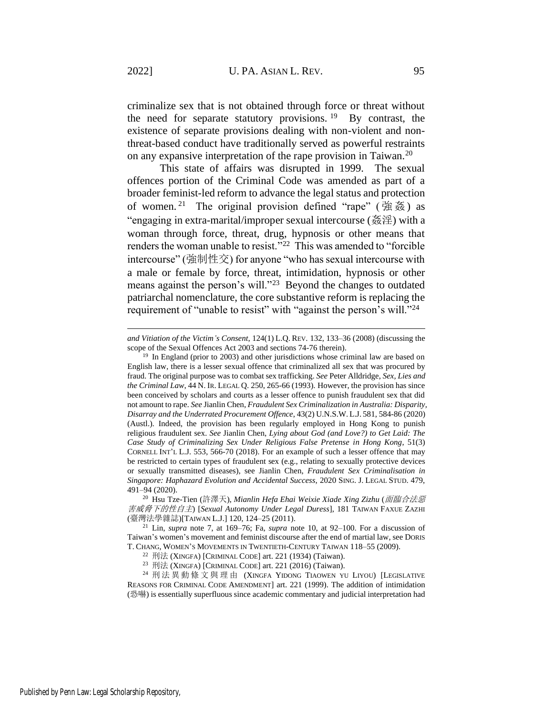criminalize sex that is not obtained through force or threat without the need for separate statutory provisions. <sup>19</sup> By contrast, the existence of separate provisions dealing with non-violent and nonthreat-based conduct have traditionally served as powerful restraints on any expansive interpretation of the rape provision in Taiwan.<sup>20</sup>

<span id="page-6-0"></span>This state of affairs was disrupted in 1999. The sexual offences portion of the Criminal Code was amended as part of a broader feminist-led reform to advance the legal status and protection of women.<sup>21</sup> The original provision defined "rape" (強姦) as "engaging in extra-marital/improper sexual intercourse (姦淫) with a woman through force, threat, drug, hypnosis or other means that renders the woman unable to resist."<sup>22</sup> This was amended to "forcible" intercourse" (強制性交) for anyone "who has sexual intercourse with a male or female by force, threat, intimidation, hypnosis or other means against the person's will."<sup>23</sup> Beyond the changes to outdated patriarchal nomenclature, the core substantive reform is replacing the requirement of "unable to resist" with "against the person's will."<sup>24</sup>

<span id="page-6-1"></span>*and Vitiation of the Victim's Consent*, 124(1) L.Q. REV. 132, 133–36 (2008) (discussing the scope of the Sexual Offences Act 2003 and sections 74-76 therein).

<sup>&</sup>lt;sup>19</sup> In England (prior to 2003) and other jurisdictions whose criminal law are based on English law, there is a lesser sexual offence that criminalized all sex that was procured by fraud. The original purpose was to combat sex trafficking. *See* Peter Alldridge, *Sex, Lies and the Criminal Law*, 44 N. IR. LEGAL Q. 250, 265-66 (1993). However, the provision has since been conceived by scholars and courts as a lesser offence to punish fraudulent sex that did not amount to rape. *See* Jianlin Chen, *Fraudulent Sex Criminalization in Australia: Disparity, Disarray and the Underrated Procurement Offence*, 43(2) U.N.S.W. L.J. 581, 584-86 (2020) (Austl.). Indeed, the provision has been regularly employed in Hong Kong to punish religious fraudulent sex. *See* Jianlin Chen, *Lying about God (and Love?) to Get Laid: The Case Study of Criminalizing Sex Under Religious False Pretense in Hong Kong*, 51(3) CORNELL INT'L L.J. 553, 566-70 (2018). For an example of such a lesser offence that may be restricted to certain types of fraudulent sex (e.g., relating to sexually protective devices or sexually transmitted diseases), see Jianlin Chen, *Fraudulent Sex Criminalisation in Singapore: Haphazard Evolution and Accidental Success*, 2020 SING. J. LEGAL STUD. 479, 491–94 (2020).

<sup>20</sup> Hsu Tze-Tien (許澤天), *Mianlin Hefa Ehai Weixie Xiade Xing Zizhu* (面臨合法惡 害威脅下的性自主) [*Sexual Autonomy Under Legal Duress*], 181 TAIWAN FAXUE ZAZHI (臺灣法學雜誌)[TAIWAN L.J.] 120, 124–25 (2011).

<sup>21</sup> Lin, *supra* note [7,](#page-3-0) at 169–76; Fa, *supra* note [10,](#page-3-1) at 92–100. For a discussion of Taiwan's women's movement and feminist discourse after the end of martial law, see DORIS T. CHANG, WOMEN'S MOVEMENTS IN TWENTIETH-CENTURY TAIWAN 118–55 (2009).

<sup>22</sup> 刑法 (XINGFA) [CRIMINAL CODE] art. 221 (1934) (Taiwan).

<sup>23</sup> 刑法 (XINGFA) [CRIMINAL CODE] art. 221 (2016) (Taiwan).

<sup>24</sup> 刑法異動條文與理由 (XINGFA YIDONG TIAOWEN YU LIYOU) [LEGISLATIVE REASONS FOR CRIMINAL CODE AMENDMENT] art. 221 (1999). The addition of intimidation (恐嚇) is essentially superfluous since academic commentary and judicial interpretation had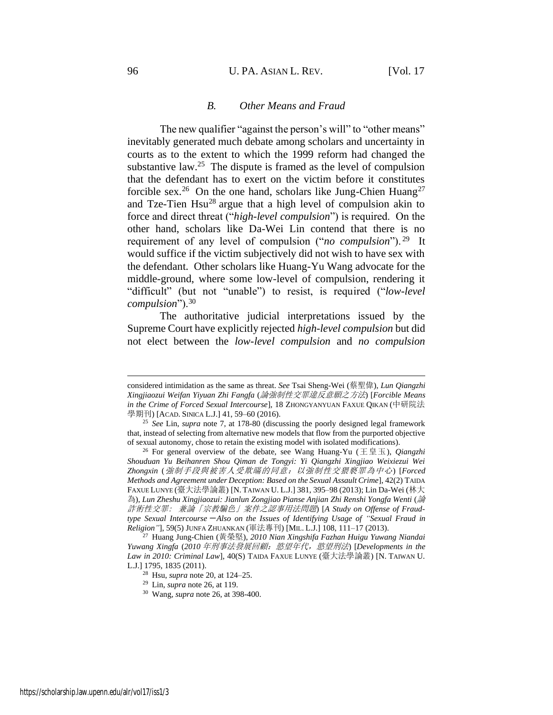#### 96 U. PA. ASIAN L. REV. [Vol. 17

### *B. Other Means and Fraud*

<span id="page-7-0"></span>The new qualifier "against the person's will" to "other means" inevitably generated much debate among scholars and uncertainty in courts as to the extent to which the 1999 reform had changed the substantive law. $25$  The dispute is framed as the level of compulsion that the defendant has to exert on the victim before it constitutes forcible sex.<sup>26</sup> On the one hand, scholars like Jung-Chien Huang<sup>27</sup> and Tze-Tien Hsu<sup>28</sup> argue that a high level of compulsion akin to force and direct threat ("*high-level compulsion*") is required. On the other hand, scholars like Da-Wei Lin contend that there is no requirement of any level of compulsion ("*no compulsion*"). <sup>29</sup> It would suffice if the victim subjectively did not wish to have sex with the defendant. Other scholars like Huang-Yu Wang advocate for the middle-ground, where some low-level of compulsion, rendering it "difficult" (but not "unable") to resist, is required ("*low-level compulsion*").<sup>30</sup>

The authoritative judicial interpretations issued by the Supreme Court have explicitly rejected *high-level compulsion* but did not elect between the *low-level compulsion* and *no compulsion*

considered intimidation as the same as threat. *See* Tsai Sheng-Wei (蔡聖偉), *Lun Qiangzhi Xingjiaozui Weifan Yiyuan Zhi Fangfa* (論強制性交罪違反意願之方法) [*Forcible Means in the Crime of Forced Sexual Intercourse*], 18 ZHONGYANYUAN FAXUE QIKAN (中研院法 學期刊) [ACAD. SINICA L.J.] 41, 59–60 (2016).

<sup>25</sup> *See* Lin, *supra* note [7,](#page-3-0) at 178-80 (discussing the poorly designed legal framework that, instead of selecting from alternative new models that flow from the purported objective of sexual autonomy, chose to retain the existing model with isolated modifications).

<sup>26</sup> For general overview of the debate, see Wang Huang-Yu (王皇玉), *Qiangzhi Shouduan Yu Beihanren Shou Qiman de Tongyi: Yi Qiangzhi Xingjiao Weixiezui Wei Zhongxin* (強制手段與被害人受欺瞞的同意:以強制性交猥褻罪為中心) [*Forced Methods and Agreement under Deception: Based on the Sexual Assault Crime*], 42(2) TAIDA FAXUE LUNYE (臺大法學論叢) [N. TAIWAN U. L.J.] 381, 395–98 (2013); Lin Da-Wei (林大 為), *Lun Zheshu Xingjiaozui: Jianlun Zongjiao Pianse Anjian Zhi Renshi Yongfa Wenti* (論 詐術性交罪: 兼論「宗教騙色」案件之認事用法問題) [*A Study on Offense of Fraudtype Sexual Intercourse*-*Also on the Issues of Identifying Usage of "Sexual Fraud in Religion"*], 59(5) JUNFA ZHUANKAN (軍法專刊) [MIL. L.J.] 108, 111–17 (2013).

<sup>27</sup> Huang Jung-Chien (黃榮堅), *2010 Nian Xingshifa Fazhan Huigu Yuwang Niandai Yuwang Xingfa* (*2010* 年刑事法發展回顧:慾望年代,慾望刑法) [*Developments in the Law in 2010: Criminal Law*], 40(S) TAIDA FAXUE LUNYE (臺大法學論叢) [N. TAIWAN U. L.J.] 1795, 1835 (2011).

<sup>28</sup> Hsu, *supra* note [20,](#page-6-0) at 124–25.

<sup>29</sup> Lin, *supra* note [26,](#page-7-0) at 119.

<sup>30</sup> Wang, *supra* note [26,](#page-7-0) at 398-400.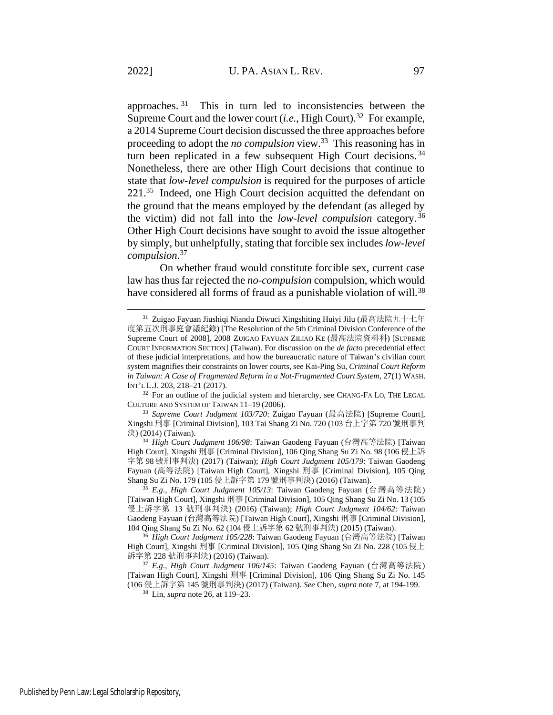approaches.<sup>31</sup> This in turn led to inconsistencies between the Supreme Court and the lower court  $(i.e., High Court).$ <sup>32</sup> For example, a 2014 Supreme Court decision discussed the three approaches before proceeding to adopt the *no compulsion* view.<sup>33</sup> This reasoning has in turn been replicated in a few subsequent High Court decisions. <sup>34</sup> Nonetheless, there are other High Court decisions that continue to state that *low-level compulsion* is required for the purposes of article 221.<sup>35</sup> Indeed, one High Court decision acquitted the defendant on the ground that the means employed by the defendant (as alleged by the victim) did not fall into the *low-level compulsion* category. <sup>36</sup> Other High Court decisions have sought to avoid the issue altogether by simply, but unhelpfully, stating that forcible sex includes *low-level compulsion*. 37

On whether fraud would constitute forcible sex, current case law has thus far rejected the *no-compulsion* compulsion, which would have considered all forms of fraud as a punishable violation of will.<sup>38</sup>

<sup>33</sup> *Supreme Court Judgment 103/720*: Zuigao Fayuan (最高法院) [Supreme Court], Xingshi 刑事 [Criminal Division], 103 Tai Shang Zi No. 720 (103 台上字第 720 號刑事判 決) (2014) (Taiwan).

<sup>34</sup> *High Court Judgment 106/98*: Taiwan Gaodeng Fayuan (台灣高等法院) [Taiwan High Court], Xingshi 刑事 [Criminal Division], 106 Qing Shang Su Zi No. 98 (106 侵上訴 字第 98 號刑事判決) (2017) (Taiwan); *High Court Judgment 105/179*: Taiwan Gaodeng Fayuan (高等法院) [Taiwan High Court], Xingshi 刑事 [Criminal Division], 105 Qing Shang Su Zi No. 179 (105 侵上訴字第 179 號刑事判決) (2016) (Taiwan).

<sup>35</sup> *E.g.*, *High Court Judgment 105/13*: Taiwan Gaodeng Fayuan (台灣高等法院) [Taiwan High Court], Xingshi 刑事 [Criminal Division], 105 Qing Shang Su Zi No. 13 (105 侵上訴字第 13 號刑事判決) (2016) (Taiwan); *High Court Judgment 104/62*: Taiwan Gaodeng Fayuan (台灣高等法院) [Taiwan High Court], Xingshi 刑事 [Criminal Division], 104 Qing Shang Su Zi No. 62 (104 侵上訴字第 62 號刑事判決) (2015) (Taiwan).

<sup>36</sup> *High Court Judgment 105/228*: Taiwan Gaodeng Fayuan (台灣高等法院) [Taiwan High Court], Xingshi 刑事 [Criminal Division], 105 Qing Shang Su Zi No. 228 (105 侵上 訴字第 228 號刑事判決) (2016) (Taiwan).

<sup>37</sup> *E.g.*, *High Court Judgment 106/145*: Taiwan Gaodeng Fayuan (台灣高等法院) [Taiwan High Court], Xingshi 刑事 [Criminal Division], 106 Qing Shang Su Zi No. 145 (106 侵上訴字第 145 號刑事判決) (2017) (Taiwan). *See* Chen, *supra* note 7, at 194-199.

<sup>38</sup> Lin, *supra* note [26,](#page-7-0) at 119–23.

<sup>31</sup> Zuigao Fayuan Jiushiqi Niandu Diwuci Xingshiting Huiyi Jilu (最高法院九十七年 度第五次刑事庭會議紀錄) [The Resolution of the 5th Criminal Division Conference of the Supreme Court of 2008], 2008 ZUIGAO FAYUAN ZILIAO KE (最高法院資料科) [SUPREME COURT INFORMATION SECTION] (Taiwan). For discussion on the *de facto* precedential effect of these judicial interpretations, and how the bureaucratic nature of Taiwan's civilian court system magnifies their constraints on lower courts, see Kai-Ping Su, *Criminal Court Reform in Taiwan: A Case of Fragmented Reform in a Not-Fragmented Court System*, 27(1) WASH. INT'L L.J. 203, 218–21 (2017).

 $32$  For an outline of the judicial system and hierarchy, see CHANG-FA LO, THE LEGAL CULTURE AND SYSTEM OF TAIWAN 11–19 (2006).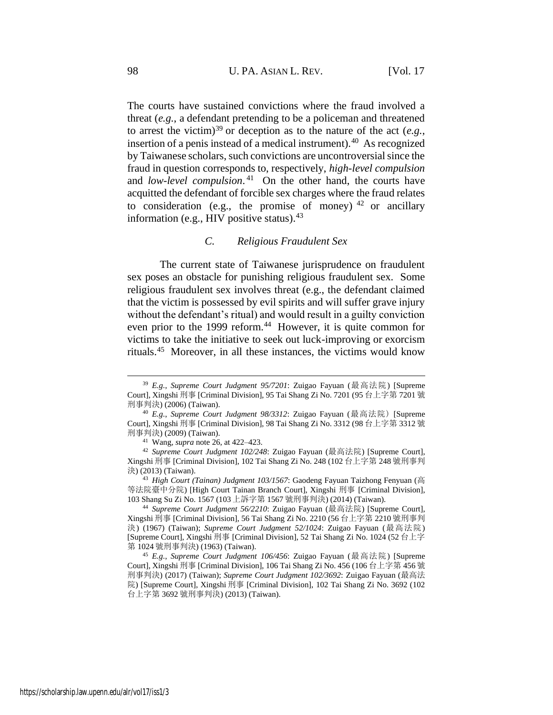The courts have sustained convictions where the fraud involved a threat (*e.g.*, a defendant pretending to be a policeman and threatened to arrest the victim)<sup>39</sup> or deception as to the nature of the act (*e.g.*, insertion of a penis instead of a medical instrument).<sup>40</sup> As recognized by Taiwanese scholars, such convictions are uncontroversial since the fraud in question corresponds to, respectively, *high-level compulsion* and *low-level compulsion*. 41 On the other hand, the courts have acquitted the defendant of forcible sex charges where the fraud relates to consideration (e.g., the promise of money)  $42$  or ancillary information (e.g., HIV positive status). $43$ 

#### *C. Religious Fraudulent Sex*

The current state of Taiwanese jurisprudence on fraudulent sex poses an obstacle for punishing religious fraudulent sex. Some religious fraudulent sex involves threat (e.g., the defendant claimed that the victim is possessed by evil spirits and will suffer grave injury without the defendant's ritual) and would result in a guilty conviction even prior to the 1999 reform.<sup>44</sup> However, it is quite common for victims to take the initiative to seek out luck-improving or exorcism rituals.<sup>45</sup> Moreover, in all these instances, the victims would know

<span id="page-9-0"></span><sup>39</sup> *E.g.*, *Supreme Court Judgment 95/7201*: Zuigao Fayuan (最高法院) [Supreme Court], Xingshi 刑事 [Criminal Division], 95 Tai Shang Zi No. 7201 (95 台上字第 7201 號 刑事判決) (2006) (Taiwan).

<sup>40</sup> *E.g.*, *Supreme Court Judgment 98/3312*: Zuigao Fayuan (最高法院) [Supreme Court], Xingshi 刑事 [Criminal Division], 98 Tai Shang Zi No. 3312 (98 台上字第 3312 號 刑事判決) (2009) (Taiwan).

<sup>41</sup> Wang, *supra* note [26,](#page-7-0) at 422–423.

<sup>42</sup> *Supreme Court Judgment 102/248*: Zuigao Fayuan (最高法院) [Supreme Court], Xingshi 刑事 [Criminal Division], 102 Tai Shang Zi No. 248 (102 台上字第 248 號刑事判 決) (2013) (Taiwan).

<sup>43</sup> *High Court (Tainan) Judgment 103/1567*: Gaodeng Fayuan Taizhong Fenyuan (高 等法院臺中分院) [High Court Tainan Branch Court], Xingshi 刑事 [Criminal Division], 103 Shang Su Zi No. 1567 (103 上訴字第 1567 號刑事判決) (2014) (Taiwan).

<sup>44</sup> *Supreme Court Judgment 56/2210*: Zuigao Fayuan (最高法院) [Supreme Court], Xingshi 刑事 [Criminal Division], 56 Tai Shang Zi No. 2210 (56 台上字第 2210 號刑事判 決) (1967) (Taiwan); *Supreme Court Judgment 52/1024*: Zuigao Fayuan (最高法院) [Supreme Court], Xingshi 刑事 [Criminal Division], 52 Tai Shang Zi No. 1024 (52 台上字 第 1024 號刑事判決) (1963) (Taiwan).

<sup>45</sup> *E.g.*, *Supreme Court Judgment 106/456*: Zuigao Fayuan (最高法院) [Supreme Court], Xingshi 刑事 [Criminal Division], 106 Tai Shang Zi No. 456 (106 台上字第 456 號 刑事判決) (2017) (Taiwan); *Supreme Court Judgment 102/3692*: Zuigao Fayuan (最高法 院) [Supreme Court], Xingshi 刑事 [Criminal Division], 102 Tai Shang Zi No. 3692 (102 台上字第 3692 號刑事判決) (2013) (Taiwan).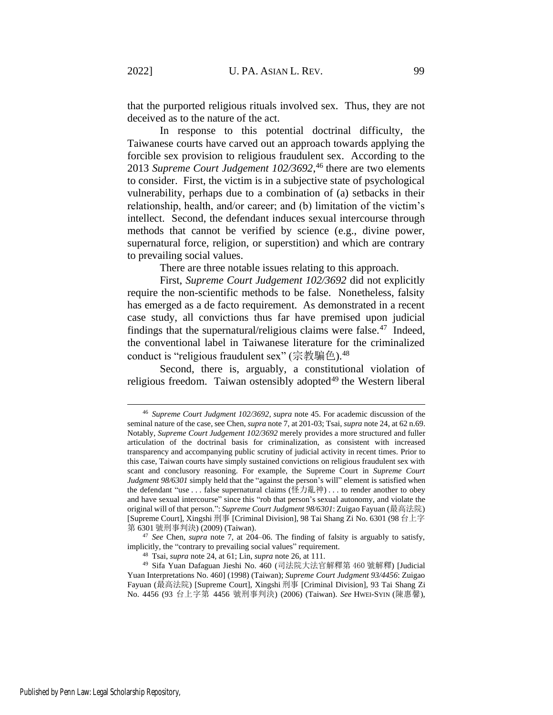that the purported religious rituals involved sex. Thus, they are not deceived as to the nature of the act.

In response to this potential doctrinal difficulty, the Taiwanese courts have carved out an approach towards applying the forcible sex provision to religious fraudulent sex. According to the 2013 *Supreme Court Judgement 102/3692*, <sup>46</sup> there are two elements to consider. First, the victim is in a subjective state of psychological vulnerability, perhaps due to a combination of (a) setbacks in their relationship, health, and/or career; and (b) limitation of the victim's intellect. Second, the defendant induces sexual intercourse through methods that cannot be verified by science (e.g., divine power, supernatural force, religion, or superstition) and which are contrary to prevailing social values.

There are three notable issues relating to this approach.

First, *Supreme Court Judgement 102/3692* did not explicitly require the non-scientific methods to be false. Nonetheless, falsity has emerged as a de facto requirement. As demonstrated in a recent case study, all convictions thus far have premised upon judicial findings that the supernatural/religious claims were false.<sup>47</sup> Indeed, the conventional label in Taiwanese literature for the criminalized conduct is "religious fraudulent sex" (宗教騙色).<sup>48</sup>

Second, there is, arguably, a constitutional violation of religious freedom. Taiwan ostensibly adopted<sup>49</sup> the Western liberal

<sup>46</sup> *Supreme Court Judgment 102/3692, supra* note [45.](#page-9-0) For academic discussion of the seminal nature of the case, see Chen, *supra* not[e 7,](#page-3-0) at 201-03; Tsai, *supra* not[e 24,](#page-6-1) at 62 n.69. Notably, *Supreme Court Judgement 102/3692* merely provides a more structured and fuller articulation of the doctrinal basis for criminalization, as consistent with increased transparency and accompanying public scrutiny of judicial activity in recent times. Prior to this case, Taiwan courts have simply sustained convictions on religious fraudulent sex with scant and conclusory reasoning. For example, the Supreme Court in *Supreme Court Judgment 98/6301* simply held that the "against the person's will" element is satisfied when the defendant "use . . . false supernatural claims (怪力亂神) . . . to render another to obey and have sexual intercourse" since this "rob that person's sexual autonomy, and violate the original will of that person.": *Supreme Court Judgment 98/6301*: Zuigao Fayuan (最高法院) [Supreme Court], Xingshi 刑事 [Criminal Division], 98 Tai Shang Zi No. 6301 (98 台上字 第 6301 號刑事判決) (2009) (Taiwan).

<sup>47</sup> *See* Chen, *supra* note [7,](#page-3-0) at 204–06. The finding of falsity is arguably to satisfy, implicitly, the "contrary to prevailing social values" requirement.

<sup>48</sup> Tsai, *supra* note [24,](#page-6-1) at 61; Lin, *supra* not[e 26,](#page-7-0) at 111.

<sup>49</sup> Sifa Yuan Dafaguan Jieshi No. 460 (司法院大法官解釋第 460 號解釋) [Judicial Yuan Interpretations No. 460] (1998) (Taiwan); *Supreme Court Judgment 93/4456*: Zuigao Fayuan (最高法院) [Supreme Court], Xingshi 刑事 [Criminal Division], 93 Tai Shang Zi No. 4456 (93 台上字第 4456 號刑事判決) (2006) (Taiwan). *See* HWEI-SYIN (陳惠馨),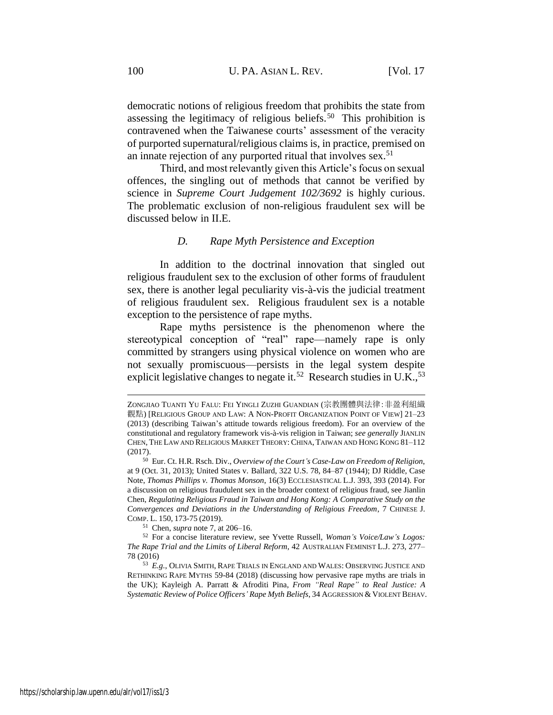democratic notions of religious freedom that prohibits the state from assessing the legitimacy of religious beliefs.<sup>50</sup> This prohibition is contravened when the Taiwanese courts' assessment of the veracity of purported supernatural/religious claims is, in practice, premised on an innate rejection of any purported ritual that involves sex.<sup>51</sup>

Third, and most relevantly given this Article's focus on sexual offences, the singling out of methods that cannot be verified by science in *Supreme Court Judgement 102/3692* is highly curious. The problematic exclusion of non-religious fraudulent sex will be discussed below in II.E.

### *D. Rape Myth Persistence and Exception*

In addition to the doctrinal innovation that singled out religious fraudulent sex to the exclusion of other forms of fraudulent sex, there is another legal peculiarity vis-à-vis the judicial treatment of religious fraudulent sex. Religious fraudulent sex is a notable exception to the persistence of rape myths.

Rape myths persistence is the phenomenon where the stereotypical conception of "real" rape—namely rape is only committed by strangers using physical violence on women who are not sexually promiscuous—persists in the legal system despite explicit legislative changes to negate it.<sup>52</sup> Research studies in U.K.,<sup>53</sup>

ZONGJIAO TUANTI YU FALU: FEI YINGLI ZUZHI GUANDIAN (宗教團體與法律:非盈利組織 觀點) [RELIGIOUS GROUP AND LAW: A NON-PROFIT ORGANIZATION POINT OF VIEW] 21–23 (2013) (describing Taiwan's attitude towards religious freedom). For an overview of the constitutional and regulatory framework vis-à-vis religion in Taiwan; *see generally* JIANLIN CHEN, THE LAW AND RELIGIOUS MARKET THEORY:CHINA, TAIWAN AND HONG KONG 81–112 (2017).

<sup>50</sup> Eur. Ct. H.R. Rsch. Div., *Overview of the Court's Case-Law on Freedom of Religion*, at 9 (Oct. 31, 2013); United States v. Ballard, 322 U.S. 78, 84–87 (1944); DJ Riddle, Case Note, *Thomas Phillips v. Thomas Monson*, 16(3) ECCLESIASTICAL L.J. 393, 393 (2014). For a discussion on religious fraudulent sex in the broader context of religious fraud, see Jianlin Chen, *Regulating Religious Fraud in Taiwan and Hong Kong: A Comparative Study on the Convergences and Deviations in the Understanding of Religious Freedom*, 7 CHINESE J. COMP. L. 150, 173-75 (2019).

<sup>51</sup> Chen, *supra* not[e 7,](#page-3-0) at 206–16.

<sup>52</sup> For a concise literature review, see Yvette Russell, *Woman's Voice/Law's Logos: The Rape Trial and the Limits of Liberal Reform*, 42 AUSTRALIAN FEMINIST L.J. 273, 277– 78 (2016)

<sup>53</sup> *E.g.*, OLIVIA SMITH, RAPE TRIALS IN ENGLAND AND WALES: OBSERVING JUSTICE AND RETHINKING RAPE MYTHS 59-84 (2018) (discussing how pervasive rape myths are trials in the UK); Kayleigh A. Parratt & Afroditi Pina, *From "Real Rape" to Real Justice: A Systematic Review of Police Officers' Rape Myth Beliefs*, 34 AGGRESSION & VIOLENT BEHAV.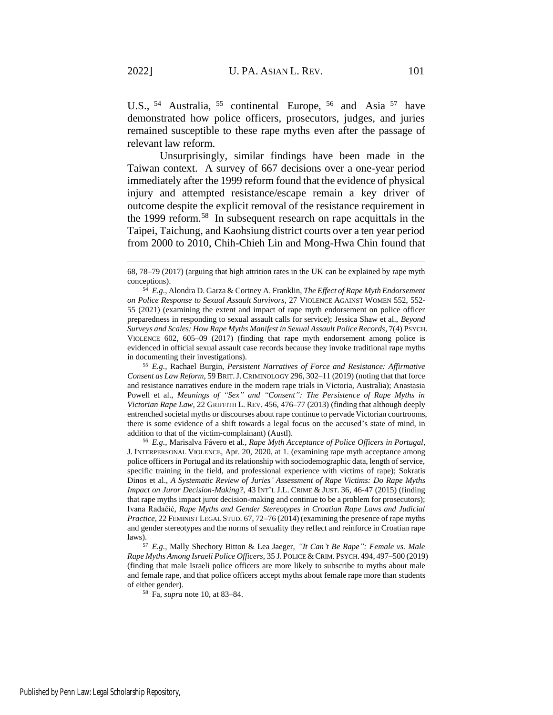U.S., <sup>54</sup> Australia, <sup>55</sup> continental Europe, <sup>56</sup> and Asia <sup>57</sup> have demonstrated how police officers, prosecutors, judges, and juries remained susceptible to these rape myths even after the passage of relevant law reform.

Unsurprisingly, similar findings have been made in the Taiwan context. A survey of 667 decisions over a one-year period immediately after the 1999 reform found that the evidence of physical injury and attempted resistance/escape remain a key driver of outcome despite the explicit removal of the resistance requirement in the 1999 reform.<sup>58</sup> In subsequent research on rape acquittals in the Taipei, Taichung, and Kaohsiung district courts over a ten year period from 2000 to 2010, Chih-Chieh Lin and Mong-Hwa Chin found that

<sup>55</sup> *E.g.*, Rachael Burgin, *Persistent Narratives of Force and Resistance: Affirmative Consent as Law Reform*, 59 BRIT.J. CRIMINOLOGY 296, 302–11 (2019) (noting that that force and resistance narratives endure in the modern rape trials in Victoria, Australia); Anastasia Powell et al., *Meanings of "Sex" and "Consent": The Persistence of Rape Myths in Victorian Rape Law*, 22 GRIFFITH L. REV. 456, 476–77 (2013) (finding that although deeply entrenched societal myths or discourses about rape continue to pervade Victorian courtrooms, there is some evidence of a shift towards a legal focus on the accused's state of mind, in addition to that of the victim-complainant) (Austl).

<sup>56</sup> *E.g.*, Marisalva Fávero et al., *Rape Myth Acceptance of Police Officers in Portugal*, J. INTERPERSONAL VIOLENCE, Apr. 20, 2020, at 1. (examining rape myth acceptance among police officers in Portugal and its relationship with sociodemographic data, length of service, specific training in the field, and professional experience with victims of rape); Sokratis Dinos et al., *A Systematic Review of Juries' Assessment of Rape Victims: Do Rape Myths Impact on Juror Decision-Making?*, 43 INT'L J.L. CRIME & JUST. 36, 46-47 (2015) (finding that rape myths impact juror decision-making and continue to be a problem for prosecutors); Ivana Radačić, *Rape Myths and Gender Stereotypes in Croatian Rape Laws and Judicial Practice*, 22 FEMINIST LEGAL STUD. 67, 72–76 (2014) (examining the presence of rape myths and gender stereotypes and the norms of sexuality they reflect and reinforce in Croatian rape laws).

<sup>57</sup> *E.g.*, Mally Shechory Bitton & Lea Jaeger, *"It Can't Be Rape": Female vs. Male Rape Myths Among Israeli Police Officers*, 35 J. POLICE & CRIM. PSYCH. 494, 497–500 (2019) (finding that male Israeli police officers are more likely to subscribe to myths about male and female rape, and that police officers accept myths about female rape more than students of either gender).

<sup>58</sup> Fa, *supra* not[e 10,](#page-3-1) at 83–84.

<sup>68, 78–79 (2017) (</sup>arguing that high attrition rates in the UK can be explained by rape myth conceptions).

<sup>54</sup> *E.g.*, Alondra D. Garza & Cortney A. Franklin, *The Effect of Rape Myth Endorsement on Police Response to Sexual Assault Survivors*, 27 VIOLENCE AGAINST WOMEN 552, 552- 55 (2021) (examining the extent and impact of rape myth endorsement on police officer preparedness in responding to sexual assault calls for service); Jessica Shaw et al., *Beyond Surveys and Scales: How Rape Myths Manifest in Sexual Assault Police Records*, 7(4) PSYCH. VIOLENCE 602, 605–09 (2017) (finding that rape myth endorsement among police is evidenced in official sexual assault case records because they invoke traditional rape myths in documenting their investigations).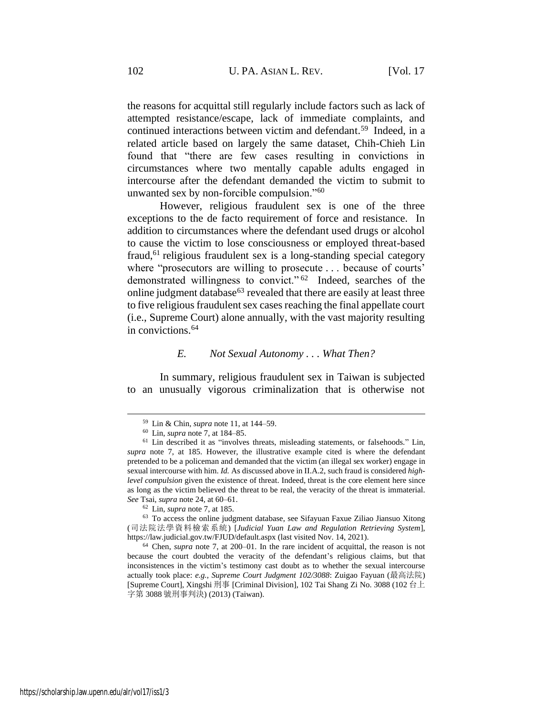the reasons for acquittal still regularly include factors such as lack of attempted resistance/escape, lack of immediate complaints, and continued interactions between victim and defendant.<sup>59</sup> Indeed, in a related article based on largely the same dataset, Chih-Chieh Lin found that "there are few cases resulting in convictions in circumstances where two mentally capable adults engaged in intercourse after the defendant demanded the victim to submit to unwanted sex by non-forcible compulsion."<sup>60</sup>

However, religious fraudulent sex is one of the three exceptions to the de facto requirement of force and resistance. In addition to circumstances where the defendant used drugs or alcohol to cause the victim to lose consciousness or employed threat-based fraud,<sup>61</sup> religious fraudulent sex is a long-standing special category where "prosecutors are willing to prosecute . . . because of courts' demonstrated willingness to convict." <sup>62</sup> Indeed, searches of the online judgment database<sup>63</sup> revealed that there are easily at least three to five religious fraudulent sex cases reaching the final appellate court (i.e., Supreme Court) alone annually, with the vast majority resulting in convictions.<sup>64</sup>

#### *E. Not Sexual Autonomy . . . What Then?*

In summary, religious fraudulent sex in Taiwan is subjected to an unusually vigorous criminalization that is otherwise not

<sup>59</sup> Lin & Chin, *supra* note [11,](#page-3-2) at 144–59.

<sup>60</sup> Lin, *supra* note [7,](#page-3-0) at 184–85.

<sup>61</sup> Lin described it as "involves threats, misleading statements, or falsehoods." Lin, *supra* note [7,](#page-3-0) at 185. However, the illustrative example cited is where the defendant pretended to be a policeman and demanded that the victim (an illegal sex worker) engage in sexual intercourse with him. *Id.* As discussed above in II.A.2, such fraud is considered *highlevel compulsion* given the existence of threat. Indeed, threat is the core element here since as long as the victim believed the threat to be real, the veracity of the threat is immaterial. *See* Tsai, *supra* not[e 24,](#page-6-1) at 60–61.

<sup>62</sup> Lin, *supra* note [7,](#page-3-0) at 185.

<sup>63</sup> To access the online judgment database, see Sifayuan Faxue Ziliao Jiansuo Xitong (司法院法學資料檢索系統) [*Judicial Yuan Law and Regulation Retrieving System*], https://law.judicial.gov.tw/FJUD/default.aspx (last visited Nov. 14, 2021).

<sup>64</sup> Chen, *supra* note [7,](#page-3-0) at 200–01. In the rare incident of acquittal, the reason is not because the court doubted the veracity of the defendant's religious claims, but that inconsistences in the victim's testimony cast doubt as to whether the sexual intercourse actually took place: *e.g.*, *Supreme Court Judgment 102/3088*: Zuigao Fayuan (最高法院) [Supreme Court], Xingshi 刑事 [Criminal Division], 102 Tai Shang Zi No. 3088 (102 台上 字第 3088 號刑事判決) (2013) (Taiwan).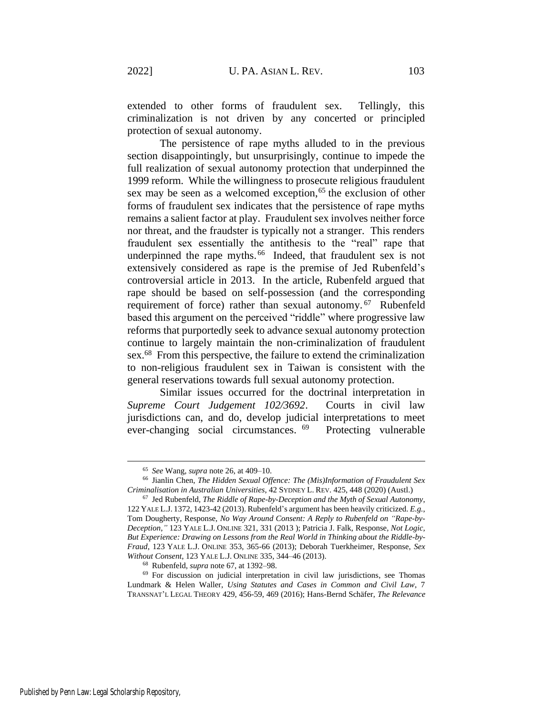extended to other forms of fraudulent sex. Tellingly, this criminalization is not driven by any concerted or principled protection of sexual autonomy.

The persistence of rape myths alluded to in the previous section disappointingly, but unsurprisingly, continue to impede the full realization of sexual autonomy protection that underpinned the 1999 reform. While the willingness to prosecute religious fraudulent sex may be seen as a welcomed exception,<sup>65</sup> the exclusion of other forms of fraudulent sex indicates that the persistence of rape myths remains a salient factor at play. Fraudulent sex involves neither force nor threat, and the fraudster is typically not a stranger. This renders fraudulent sex essentially the antithesis to the "real" rape that underpinned the rape myths.<sup>66</sup> Indeed, that fraudulent sex is not extensively considered as rape is the premise of Jed Rubenfeld's controversial article in 2013. In the article, Rubenfeld argued that rape should be based on self-possession (and the corresponding requirement of force) rather than sexual autonomy.<sup>67</sup> Rubenfeld based this argument on the perceived "riddle" where progressive law reforms that purportedly seek to advance sexual autonomy protection continue to largely maintain the non-criminalization of fraudulent sex.<sup>68</sup> From this perspective, the failure to extend the criminalization to non-religious fraudulent sex in Taiwan is consistent with the general reservations towards full sexual autonomy protection.

<span id="page-14-0"></span>Similar issues occurred for the doctrinal interpretation in *Supreme Court Judgement 102/3692*. Courts in civil law jurisdictions can, and do, develop judicial interpretations to meet ever-changing social circumstances. <sup>69</sup> Protecting vulnerable

<sup>65</sup> *See* Wang, *supra* not[e 26,](#page-7-0) at 409–10.

<sup>66</sup> Jianlin Chen, *The Hidden Sexual Offence: The (Mis)Information of Fraudulent Sex Criminalisation in Australian Universities*, 42 SYDNEY L. REV. 425, 448 (2020) (Austl.)

<sup>67</sup> Jed Rubenfeld, *The Riddle of Rape-by-Deception and the Myth of Sexual Autonomy*, 122 YALE L.J. 1372, 1423-42 (2013). Rubenfeld's argument has been heavily criticized. *E.g.*, Tom Dougherty, Response, *No Way Around Consent: A Reply to Rubenfeld on "Rape-by-Deception*,*"* 123 YALE L.J. ONLINE 321, 331 (2013 ); Patricia J. Falk, Response, *Not Logic, But Experience: Drawing on Lessons from the Real World in Thinking about the Riddle-by-Fraud*, 123 YALE L.J. ONLINE 353, 365-66 (2013); Deborah Tuerkheimer, Response, *Sex Without Consent*, 123 YALE L.J. ONLINE 335, 344–46 (2013).

<sup>68</sup> Rubenfeld, *supra* note [67,](#page-14-0) at 1392–98.

<sup>69</sup> For discussion on judicial interpretation in civil law jurisdictions, see Thomas Lundmark & Helen Waller, *Using Statutes and Cases in Common and Civil Law*, 7 TRANSNAT'L LEGAL THEORY 429, 456-59, 469 (2016); Hans-Bernd Schäfer, *The Relevance*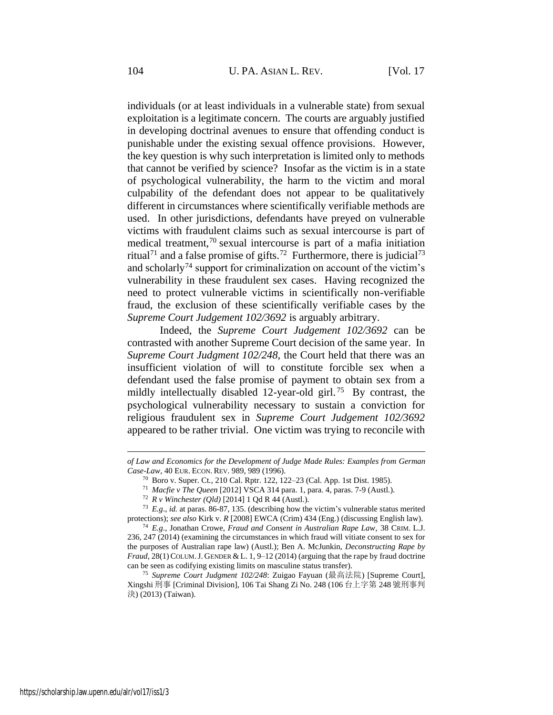individuals (or at least individuals in a vulnerable state) from sexual exploitation is a legitimate concern. The courts are arguably justified in developing doctrinal avenues to ensure that offending conduct is punishable under the existing sexual offence provisions. However, the key question is why such interpretation is limited only to methods that cannot be verified by science? Insofar as the victim is in a state of psychological vulnerability, the harm to the victim and moral culpability of the defendant does not appear to be qualitatively different in circumstances where scientifically verifiable methods are used. In other jurisdictions, defendants have preyed on vulnerable victims with fraudulent claims such as sexual intercourse is part of medical treatment,<sup>70</sup> sexual intercourse is part of a mafia initiation ritual<sup>71</sup> and a false promise of gifts.<sup>72</sup> Furthermore, there is judicial<sup>73</sup> and scholarly<sup>74</sup> support for criminalization on account of the victim's vulnerability in these fraudulent sex cases. Having recognized the need to protect vulnerable victims in scientifically non-verifiable fraud, the exclusion of these scientifically verifiable cases by the *Supreme Court Judgement 102/3692* is arguably arbitrary.

Indeed, the *Supreme Court Judgement 102/3692* can be contrasted with another Supreme Court decision of the same year. In *Supreme Court Judgment 102/248*, the Court held that there was an insufficient violation of will to constitute forcible sex when a defendant used the false promise of payment to obtain sex from a mildly intellectually disabled 12-year-old girl.<sup>75</sup> By contrast, the psychological vulnerability necessary to sustain a conviction for religious fraudulent sex in *Supreme Court Judgement 102/3692* appeared to be rather trivial. One victim was trying to reconcile with

*of Law and Economics for the Development of Judge Made Rules: Examples from German Case-Law*, 40 EUR. ECON. REV. 989, 989 (1996).

<sup>70</sup> Boro v. Super. Ct*.*, 210 Cal. Rptr. 122, 122–23 (Cal. App. 1st Dist. 1985).

<sup>71</sup> *Macfie v The Queen* [2012] VSCA 314 para. 1, para. 4, paras. 7-9 (Austl.).

<sup>72</sup> *R v Winchester (Qld)* [2014] 1 Qd R 44 (Austl.).

<sup>73</sup> *E.g*., *id.* at paras. 86-87, 135. (describing how the victim's vulnerable status merited protections); *see also* Kirk v. *R* [2008] EWCA (Crim) 434 (Eng.) (discussing English law).

<sup>74</sup> *E.g.*, Jonathan Crowe, *Fraud and Consent in Australian Rape Law*, 38 CRIM. L.J. 236, 247 (2014) (examining the circumstances in which fraud will vitiate consent to sex for the purposes of Australian rape law) (Austl.); Ben A. McJunkin, *Deconstructing Rape by Fraud*, 28(1) COLUM.J. GENDER & L. 1, 9–12 (2014) (arguing that the rape by fraud doctrine can be seen as codifying existing limits on masculine status transfer).

<sup>75</sup> *Supreme Court Judgment 102/248*: Zuigao Fayuan (最高法院) [Supreme Court], Xingshi 刑事 [Criminal Division], 106 Tai Shang Zi No. 248 (106 台上字第 248 號刑事判 決) (2013) (Taiwan).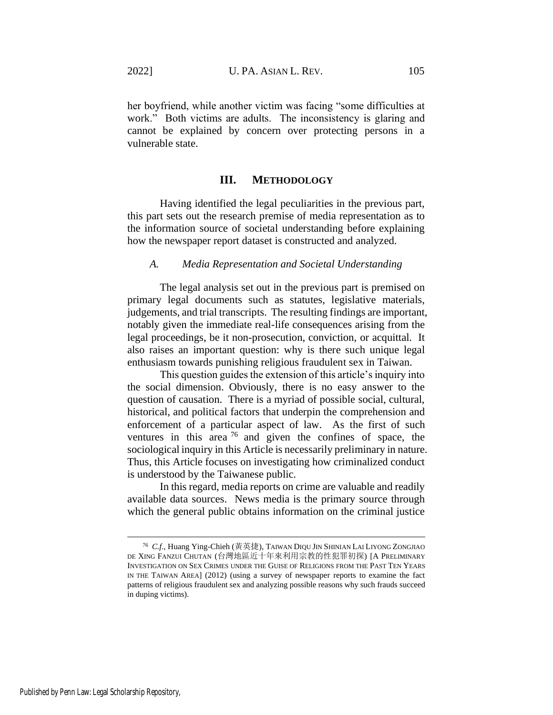her boyfriend, while another victim was facing "some difficulties at work." Both victims are adults. The inconsistency is glaring and cannot be explained by concern over protecting persons in a vulnerable state.

#### **III. METHODOLOGY**

Having identified the legal peculiarities in the previous part, this part sets out the research premise of media representation as to the information source of societal understanding before explaining how the newspaper report dataset is constructed and analyzed.

#### *A. Media Representation and Societal Understanding*

The legal analysis set out in the previous part is premised on primary legal documents such as statutes, legislative materials, judgements, and trial transcripts. The resulting findings are important, notably given the immediate real-life consequences arising from the legal proceedings, be it non-prosecution, conviction, or acquittal. It also raises an important question: why is there such unique legal enthusiasm towards punishing religious fraudulent sex in Taiwan.

This question guides the extension of this article's inquiry into the social dimension. Obviously, there is no easy answer to the question of causation. There is a myriad of possible social, cultural, historical, and political factors that underpin the comprehension and enforcement of a particular aspect of law. As the first of such ventures in this area  $^{76}$  and given the confines of space, the sociological inquiry in this Article is necessarily preliminary in nature. Thus, this Article focuses on investigating how criminalized conduct is understood by the Taiwanese public.

<span id="page-16-0"></span>In this regard, media reports on crime are valuable and readily available data sources. News media is the primary source through which the general public obtains information on the criminal justice

<sup>76</sup> *C.f.*, Huang Ying-Chieh (黃英捷), TAIWAN DIQU JIN SHINIAN LAI LIYONG ZONGJIAO DE XING FANZUI CHUTAN (台灣地區近十年來利用宗教的性犯罪初探) [A PRELIMINARY INVESTIGATION ON SEX CRIMES UNDER THE GUISE OF RELIGIONS FROM THE PAST TEN YEARS IN THE TAIWAN AREA] (2012) (using a survey of newspaper reports to examine the fact patterns of religious fraudulent sex and analyzing possible reasons why such frauds succeed in duping victims).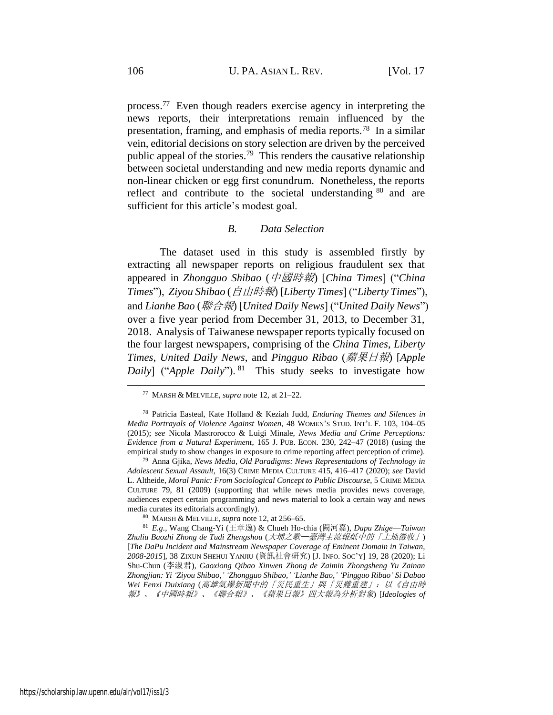process.<sup>77</sup> Even though readers exercise agency in interpreting the news reports, their interpretations remain influenced by the presentation, framing, and emphasis of media reports.<sup>78</sup> In a similar vein, editorial decisions on story selection are driven by the perceived public appeal of the stories.<sup>79</sup> This renders the causative relationship between societal understanding and new media reports dynamic and non-linear chicken or egg first conundrum. Nonetheless, the reports reflect and contribute to the societal understanding  $80$  and are sufficient for this article's modest goal.

#### *B. Data Selection*

The dataset used in this study is assembled firstly by extracting all newspaper reports on religious fraudulent sex that appeared in *Zhongguo Shibao* (中國時報) [*China Times*] ("*China Times*"), *Ziyou Shibao* (自由時報) [*Liberty Times*] ("*Liberty Times*"), and *Lianhe Bao* (聯合報) [*United Daily News*] ("*United Daily News*") over a five year period from December 31, 2013, to December 31, 2018. Analysis of Taiwanese newspaper reports typically focused on the four largest newspapers, comprising of the *China Times*, *Liberty Times*, *United Daily News*, and *Pingguo Ribao* (蘋果日報) [*Apple Daily*] ("*Apple Daily*"). <sup>81</sup> This study seeks to investigate how

<span id="page-17-0"></span><sup>77</sup> MARSH & MELVILLE, *supra* note [12,](#page-4-0) at 21–22.

<sup>78</sup> Patricia Easteal, Kate Holland & Keziah Judd, *Enduring Themes and Silences in Media Portrayals of Violence Against Women*, 48 WOMEN'S STUD. INT'L F. 103, 104–05 (2015); *see* Nicola Mastrorocco & Luigi Minale, *News Media and Crime Perceptions: Evidence from a Natural Experiment*, 165 J. PUB. ECON. 230, 242–47 (2018) (using the empirical study to show changes in exposure to crime reporting affect perception of crime).

<sup>79</sup> Anna Gjika, *News Media, Old Paradigms: News Representations of Technology in Adolescent Sexual Assault*, 16(3) CRIME MEDIA CULTURE 415, 416–417 (2020); *see* David L. Altheide, *Moral Panic: From Sociological Concept to Public Discourse*, 5 CRIME MEDIA CULTURE 79, 81 (2009) (supporting that while news media provides news coverage, audiences expect certain programming and news material to look a certain way and news media curates its editorials accordingly).

<sup>80</sup> MARSH & MELVILLE,*supra* note [12,](#page-4-0) at 256–65.

<sup>81</sup> *E.g.*, Wang Chang-Yi (王章逸) & Chueh Ho-chia (闕河嘉), *Dapu Zhige*—*Taiwan Zhuliu Baozhi Zhong de Tudi Zhengshou* (大埔之歌─臺灣主流報紙中的「土地徵收」) [*The DaPu Incident and Mainstream Newspaper Coverage of Eminent Domain in Taiwan, 2008-2015*], 38 ZIXUN SHEHUI YANJIU (資訊社會研究) [J. INFO. SOC'Y] 19, 28 (2020); Li Shu-Chun (李淑君), *Gaoxiong Qibao Xinwen Zhong de Zaimin Zhongsheng Yu Zainan Zhongjian: Yi 'Ziyou Shibao,' 'Zhongguo Shibao,' 'Lianhe Bao,' 'Pingguo Ribao' Si Dabao Wei Fenxi Duixiang* (高雄氣爆新聞中的「災民重生」與「災難重建」:以《自由時 報》、《中國時報》、《聯合報》、《蘋果日報》四大報為分析對象) [*Ideologies of*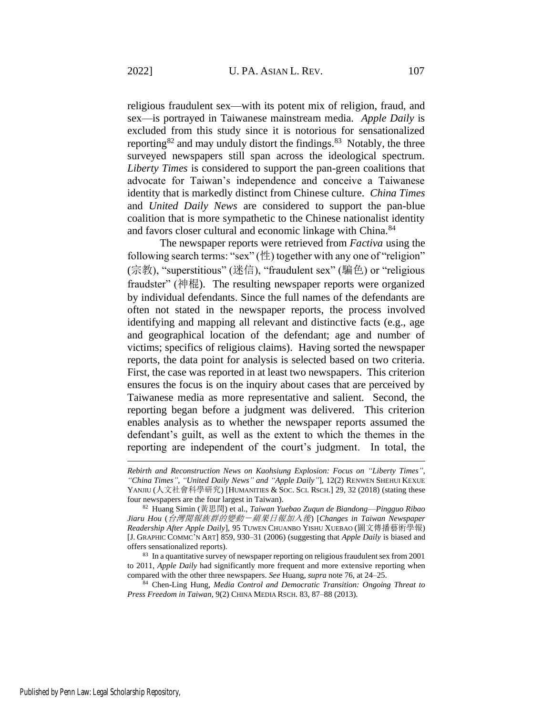religious fraudulent sex—with its potent mix of religion, fraud, and sex—is portrayed in Taiwanese mainstream media. *Apple Daily* is excluded from this study since it is notorious for sensationalized reporting<sup>82</sup> and may unduly distort the findings.<sup>83</sup> Notably, the three surveyed newspapers still span across the ideological spectrum. *Liberty Times* is considered to support the pan-green coalitions that advocate for Taiwan's independence and conceive a Taiwanese identity that is markedly distinct from Chinese culture. *China Times* and *United Daily News* are considered to support the pan-blue coalition that is more sympathetic to the Chinese nationalist identity and favors closer cultural and economic linkage with China.<sup>84</sup>

<span id="page-18-0"></span>The newspaper reports were retrieved from *Factiva* using the following search terms: "sex" (性) together with any one of "religion" (宗教), "superstitious" (迷信), "fraudulent sex" (騙色) or "religious fraudster" (神棍). The resulting newspaper reports were organized by individual defendants. Since the full names of the defendants are often not stated in the newspaper reports, the process involved identifying and mapping all relevant and distinctive facts (e.g., age and geographical location of the defendant; age and number of victims; specifics of religious claims). Having sorted the newspaper reports, the data point for analysis is selected based on two criteria. First, the case was reported in at least two newspapers. This criterion ensures the focus is on the inquiry about cases that are perceived by Taiwanese media as more representative and salient. Second, the reporting began before a judgment was delivered. This criterion enables analysis as to whether the newspaper reports assumed the defendant's guilt, as well as the extent to which the themes in the reporting are independent of the court's judgment. In total, the

<sup>84</sup> Chen-Ling Hung, *Media Control and Democratic Transition: Ongoing Threat to Press Freedom in Taiwan*, 9(2) CHINA MEDIA RSCH. 83, 87–88 (2013).

*Rebirth and Reconstruction News on Kaohsiung Explosion: Focus on "Liberty Times", "China Times", "United Daily News" and "Apple Daily"*], 12(2) RENWEN SHEHUI KEXUE YANJIU (人文社會科學研究) [HUMANITIES & SOC. SCI. RSCH.] 29, 32 (2018) (stating these four newspapers are the four largest in Taiwan).

<sup>82</sup> Huang Simin (黃思閔) et al., *Taiwan Yuebao Zuqun de Biandong*—*Pingguo Ribao Jiaru Hou* (台灣閱報族群的變動-蘋果日報加入後) [*Changes in Taiwan Newspaper Readership After Apple Daily*], 95 TUWEN CHUANBO YISHU XUEBAO (圖文傳播藝術學報) [J. GRAPHIC COMMC'N ART] 859, 930–31 (2006) (suggesting that *Apple Daily* is biased and offers sensationalized reports).

<sup>&</sup>lt;sup>83</sup> In a quantitative survey of newspaper reporting on religious fraudulent sex from 2001 to 2011, *Apple Daily* had significantly more frequent and more extensive reporting when compared with the other three newspapers. *See* Huang, *supra* not[e 76,](#page-16-0) at 24–25.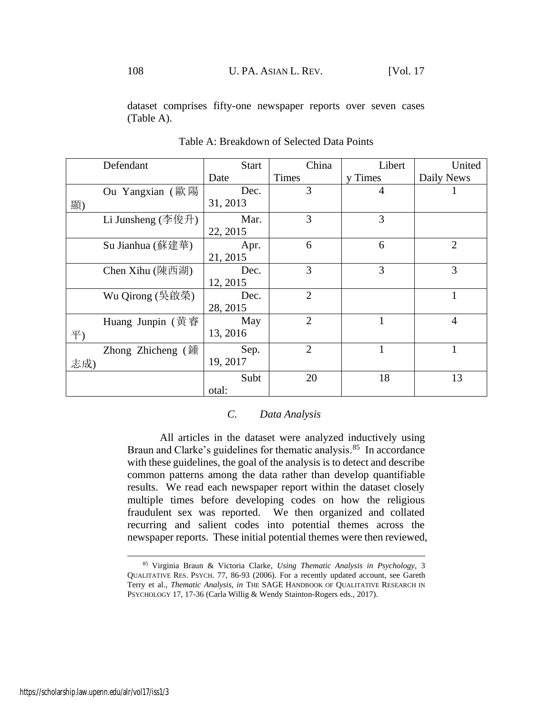dataset comprises fifty-one newspaper reports over seven cases (Table A).

|     | Defendant                         | <b>Start</b> | China          | Libert         | United         |
|-----|-----------------------------------|--------------|----------------|----------------|----------------|
|     |                                   | Date         | Times          | y Times        | Daily News     |
|     | Ou Yangxian (歐陽                   | Dec.         | 3              | $\overline{4}$ |                |
| 顯)  |                                   | 31, 2013     |                |                |                |
|     | Li Junsheng $($ 李俊升 $)$           | Mar.         | 3              | 3              |                |
|     |                                   | 22, 2015     |                |                |                |
|     | Su Jianhua (蘇建華)                  | Apr.         | 6              | 6              | $\overline{2}$ |
|     |                                   | 21, 2015     |                |                |                |
|     | Chen Xihu (陳西湖)                   | Dec.         | 3              | 3              | 3              |
|     |                                   | 12, 2015     |                |                |                |
|     | Wu Qirong (吳啟榮)                   | Dec.         | $\overline{2}$ |                |                |
|     |                                   | 28, 2015     |                |                |                |
|     | Huang Junpin (黄睿                  | May          | $\overline{2}$ |                | $\overline{4}$ |
| 平)  |                                   | 13, 2016     |                |                |                |
|     | Zhong Zhicheng $(\frac{3\pi}{2})$ | Sep.         | $\overline{2}$ | $\mathbf{1}$   | Ι.             |
| 志成) |                                   | 19, 2017     |                |                |                |
|     |                                   | Subt         | 20             | 18             | 13             |
|     |                                   | otal:        |                |                |                |

Table A: Breakdown of Selected Data Points

### *C. Data Analysis*

All articles in the dataset were analyzed inductively using Braun and Clarke's guidelines for thematic analysis.<sup>85</sup> In accordance with these guidelines, the goal of the analysis is to detect and describe common patterns among the data rather than develop quantifiable results. We read each newspaper report within the dataset closely multiple times before developing codes on how the religious fraudulent sex was reported. We then organized and collated recurring and salient codes into potential themes across the newspaper reports. These initial potential themes were then reviewed,

<sup>85</sup> Virginia Braun & Victoria Clarke, *Using Thematic Analysis in Psychology*, 3 QUALITATIVE RES. PSYCH. 77, 86-93 (2006). For a recently updated account, see Gareth Terry et al., *Thematic Analysis*, *in* THE SAGE HANDBOOK OF QUALITATIVE RESEARCH IN PSYCHOLOGY 17, 17-36 (Carla Willig & Wendy Stainton-Rogers eds., 2017).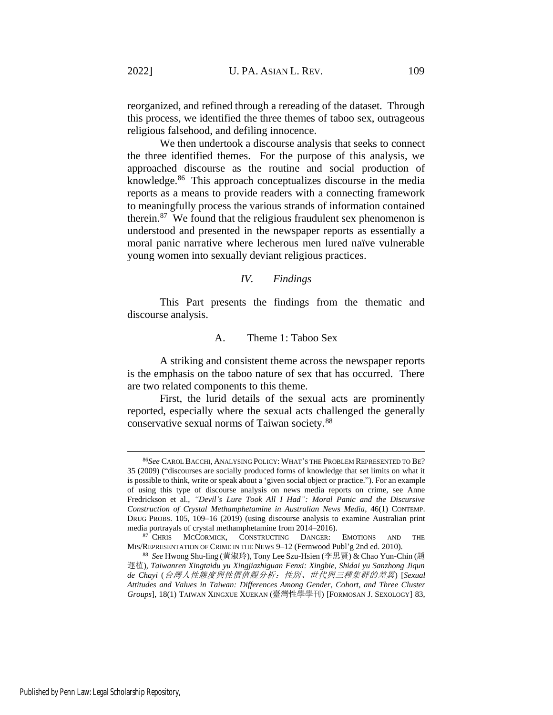reorganized, and refined through a rereading of the dataset. Through this process, we identified the three themes of taboo sex, outrageous religious falsehood, and defiling innocence.

We then undertook a discourse analysis that seeks to connect the three identified themes. For the purpose of this analysis, we approached discourse as the routine and social production of knowledge.<sup>86</sup> This approach conceptualizes discourse in the media reports as a means to provide readers with a connecting framework to meaningfully process the various strands of information contained therein. $87$  We found that the religious fraudulent sex phenomenon is understood and presented in the newspaper reports as essentially a moral panic narrative where lecherous men lured naïve vulnerable young women into sexually deviant religious practices.

#### *IV. Findings*

This Part presents the findings from the thematic and discourse analysis.

# A. Theme 1: Taboo Sex

A striking and consistent theme across the newspaper reports is the emphasis on the taboo nature of sex that has occurred. There are two related components to this theme.

First, the lurid details of the sexual acts are prominently reported, especially where the sexual acts challenged the generally conservative sexual norms of Taiwan society.<sup>88</sup>

<sup>86</sup>*See* CAROL BACCHI, ANALYSING POLICY: WHAT'S THE PROBLEM REPRESENTED TO BE? 35 (2009) ("discourses are socially produced forms of knowledge that set limits on what it is possible to think, write or speak about a 'given social object or practice."). For an example of using this type of discourse analysis on news media reports on crime, see Anne Fredrickson et al., *"Devil's Lure Took All I Had": Moral Panic and the Discursive Construction of Crystal Methamphetamine in Australian News Media*, 46(1) CONTEMP. DRUG PROBS. 105, 109–16 (2019) (using discourse analysis to examine Australian print media portrayals of crystal methamphetamine from 2014–2016).

<sup>87</sup> CHRIS MCCORMICK, CONSTRUCTING DANGER: EMOTIONS AND THE MIS/REPRESENTATION OF CRIME IN THE NEWS 9–12 (Fernwood Publ'g 2nd ed. 2010).

<sup>88</sup> *See* Hwong Shu-ling (黃淑玲), Tony Lee Szu-Hsien (李思賢) & Chao Yun-Chin (趙 運植), *Taiwanren Xingtaidu yu Xingjiazhiguan Fenxi: Xingbie, Shidai yu Sanzhong Jiqun de Chayi* (台灣人性態度與性價值觀分析:性別、世代與三種集群的差異) [*Sexual Attitudes and Values in Taiwan: Differences Among Gender, Cohort, and Three Cluster Groups*], 18(1) TAIWAN XINGXUE XUEKAN (臺灣性學學刊) [FORMOSAN J. SEXOLOGY] 83,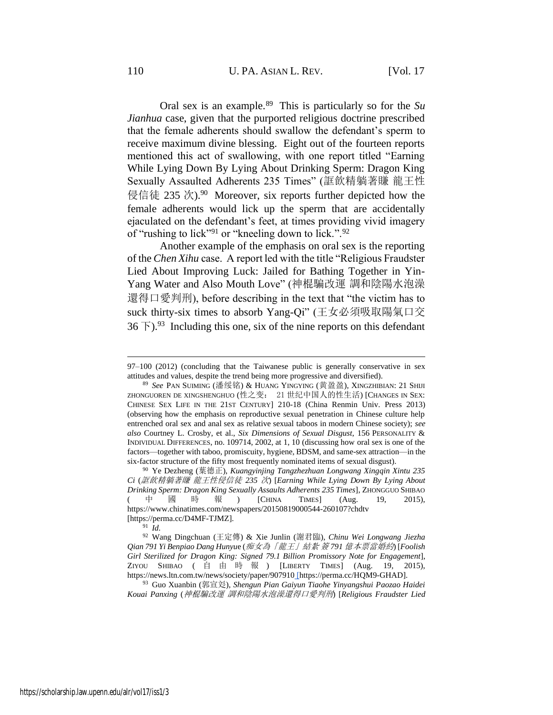Oral sex is an example.<sup>89</sup> This is particularly so for the *Su Jianhua* case, given that the purported religious doctrine prescribed that the female adherents should swallow the defendant's sperm to receive maximum divine blessing. Eight out of the fourteen reports mentioned this act of swallowing, with one report titled "Earning While Lying Down By Lying About Drinking Sperm: Dragon King Sexually Assaulted Adherents 235 Times" (誆飲精躺著賺 龍王性 侵信徒 235 次).<sup>90</sup> Moreover, six reports further depicted how the female adherents would lick up the sperm that are accidentally ejaculated on the defendant's feet, at times providing vivid imagery of "rushing to lick"<sup>91</sup> or "kneeling down to lick.".<sup>92</sup>

<span id="page-21-1"></span><span id="page-21-0"></span>Another example of the emphasis on oral sex is the reporting of the *Chen Xihu* case. A report led with the title "Religious Fraudster Lied About Improving Luck: Jailed for Bathing Together in Yin-Yang Water and Also Mouth Love" (神棍騙改運 調和陰陽水泡澡 還得口愛判刑), before describing in the text that "the victim has to suck thirty-six times to absorb Yang-Qi" (王女必須吸取陽氣口交  $36 \text{ F}$ ).<sup>93</sup> Including this one, six of the nine reports on this defendant

<sup>91</sup> *Id.*

<sup>92</sup> Wang Dingchuan (王定傳) & Xie Junlin (謝君臨), *Chinu Wei Longwang Jiezha Qian 791 Yi Benpiao Dang Hunyu*e (痴女為「龍王」結紮 簽 *791* 億本票當婚約) [*Foolish Girl Sterilized for Dragon King: Signed 79.1 Billion Promissory Note for Engagement*], ZIYOU SHIBAO ( 自 由 時 報 ) [LIBERTY TIMES] (Aug. 19, 2015), https://news.ltn.com.tw/news/society/paper/907910 [https://perma.cc/HQM9-GHAD].

<sup>93</sup> Guo Xuanbin (郭宣彣), *Shengun Pian Gaiyun Tiaohe Yinyangshui Paozao Haidei Kouai Panxing* (神棍騙改運 調和陰陽水泡澡還得口愛判刑) [*Religious Fraudster Lied* 

<sup>97–100</sup> (2012) (concluding that the Taiwanese public is generally conservative in sex attitudes and values, despite the trend being more progressive and diversified).

<sup>89</sup> *See* PAN SUIMING (潘绥铭) & HUANG YINGYING (黄盈盈), XINGZHIBIAN: 21 SHIJI ZHONGUOREN DE XINGSHENGHUO (性之变: 21 世纪中国人的性生活) [CHANGES IN SEX: CHINESE SEX LIFE IN THE 21ST CENTURY] 210-18 (China Renmin Univ. Press 2013) (observing how the emphasis on reproductive sexual penetration in Chinese culture help entrenched oral sex and anal sex as relative sexual taboos in modern Chinese society); *see also* Courtney L. Crosby, et al., *Six Dimensions of Sexual Disgust*, 156 PERSONALITY & INDIVIDUAL DIFFERENCES, no. 109714, 2002, at 1, 10 (discussing how oral sex is one of the factors—together with taboo, promiscuity, hygiene, BDSM, and same-sex attraction—in the six-factor structure of the fifty most frequently nominated items of sexual disgust).

<sup>90</sup> Ye Dezheng (葉德正), *Kuangyinjing Tangzhezhuan Longwang Xingqin Xintu 235 Ci* (誆飲精躺著賺 龍王性侵信徒 *235* 次) [*Earning While Lying Down By Lying About Drinking Sperm: Dragon King Sexually Assaults Adherents 235 Times*], ZHONGGUO SHIBAO ( 中國時報 ) [CHINA TIMES] (Aug. 19, 2015), https://www.chinatimes.com/newspapers/20150819000544-260107?chdtv [https://perma.cc/D4MF-TJMZ].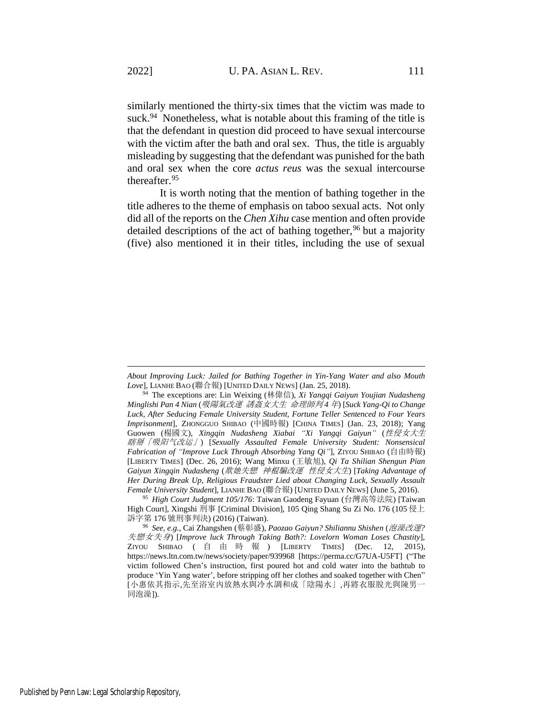<span id="page-22-1"></span>similarly mentioned the thirty-six times that the victim was made to suck.<sup>94</sup> Nonetheless, what is notable about this framing of the title is that the defendant in question did proceed to have sexual intercourse with the victim after the bath and oral sex. Thus, the title is arguably misleading by suggesting that the defendant was punished for the bath and oral sex when the core *actus reus* was the sexual intercourse thereafter.<sup>95</sup>

<span id="page-22-0"></span>It is worth noting that the mention of bathing together in the title adheres to the theme of emphasis on taboo sexual acts. Not only did all of the reports on the *Chen Xihu* case mention and often provide detailed descriptions of the act of bathing together,  $96$  but a majority (five) also mentioned it in their titles, including the use of sexual

*About Improving Luck: Jailed for Bathing Together in Yin-Yang Water and also Mouth Love*], LIANHE BAO (聯合報) [UNITED DAILY NEWS] (Jan. 25, 2018).

<sup>94</sup> The exceptions are: Lin Weixing (林偉信), *Xi Yangqi Gaiyun Youjian Nudasheng Minglishi Pan 4 Nian* (吸陽氣改運 誘姦女大生 命理師判 *4* 年) [*Suck Yang-Qi to Change Luck, After Seducing Female University Student, Fortune Teller Sentenced to Four Years Imprisonment*], ZHONGGUO SHIBAO (中國時報) [CHINA TIMES] (Jan. 23, 2018); Yang Guowen (楊國文), *Xingqin Nudasheng Xiabai "Xi Yangqi Gaiyun"* (性侵女大生 瞎掰「吸阳气改运」) [*Sexually Assaulted Female University Student: Nonsensical Fabrication of "Improve Luck Through Absorbing Yang Qi"*], ZIYOU SHIBAO (自由時報) [LIBERTY TIMES] (Dec. 26, 2016); Wang Minxu (王敏旭), *Qi Ta Shilian Shengun Pian Gaiyun Xingqin Nudasheng* (欺她失戀 神棍騙改運 性侵女大生) [*Taking Advantage of Her During Break Up, Religious Fraudster Lied about Changing Luck, Sexually Assault Female University Student*], LIANHE BAO (聯合報) [UNITED DAILY NEWS] (June 5, 2016).

<sup>95</sup> *High Court Judgment 105/176*: Taiwan Gaodeng Fayuan (台灣高等法院) [Taiwan High Court], Xingshi 刑事 [Criminal Division], 105 Qing Shang Su Zi No. 176 (105 侵上 訴字第 176 號刑事判決) (2016) (Taiwan).

<sup>96</sup> *See, e.g.*, Cai Zhangshen (蔡彰盛), *Paozao Gaiyun? Shiliannu Shishen* (泡澡改運*?*  失戀女失身) [*Improve luck Through Taking Bath?: Lovelorn Woman Loses Chastity*], ZIYOU SHIBAO ( 自由時報 ) [LIBERTY TIMES] (Dec. 12, 2015), https://news.ltn.com.tw/news/society/paper/939968 [https://perma.cc/G7UA-U5FT] ("The victim followed Chen's instruction, first poured hot and cold water into the bathtub to produce 'Yin Yang water', before stripping off her clothes and soaked together with Chen" [小惠依其指示,先至浴室內放熱水與冷水調和成「陰陽水」,再將衣服脫光與陳男一 同泡澡]).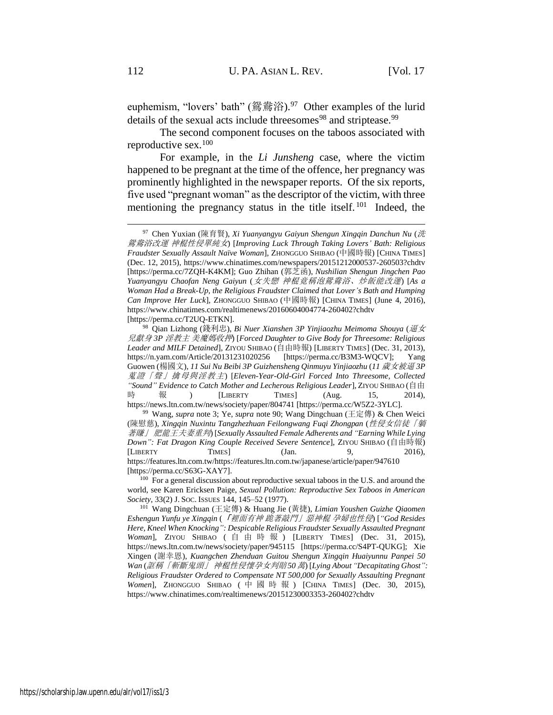<span id="page-23-3"></span><span id="page-23-2"></span><span id="page-23-1"></span>euphemism, "lovers' bath" (鴛鴦浴).<sup>97</sup> Other examples of the lurid details of the sexual acts include threesomes<sup>98</sup> and striptease.<sup>99</sup>

The second component focuses on the taboos associated with reproductive sex.<sup>100</sup>

For example, in the *Li Junsheng* case, where the victim happened to be pregnant at the time of the offence, her pregnancy was prominently highlighted in the newspaper reports. Of the six reports, five used "pregnant woman" as the descriptor of the victim, with three mentioning the pregnancy status in the title itself.<sup>101</sup> Indeed, the

<span id="page-23-0"></span><sup>97</sup> Chen Yuxian (陳育賢), *Xi Yuanyangyu Gaiyun Shengun Xingqin Danchun Nu* (洗 鴛鴦浴改運 神棍性侵單純女) [*Improving Luck Through Taking Lovers' Bath: Religious Fraudster Sexually Assault Naïve Woman*], ZHONGGUO SHIBAO (中國時報) [CHINA TIMES] (Dec. 12, 2015), https://www.chinatimes.com/newspapers/20151212000537-260503?chdtv [https://perma.cc/7ZQH-K4KM]; Guo Zhihan (郭芝函), *Nushilian Shengun Jingchen Pao Yuanyangyu Chaofan Neng Gaiyun* (女失戀 神棍竟稱泡鴛鴦浴、炒飯能改運) [*As a Woman Had a Break-Up, the Religious Fraudster Claimed that Lover's Bath and Humping Can Improve Her Luck*], ZHONGGUO SHIBAO (中國時報) [CHINA TIMES] (June 4, 2016), https://www.chinatimes.com/realtimenews/20160604004774-260402?chdtv [https://perma.cc/T2UQ-ETKN].

<sup>98</sup> Qian Lizhong (錢利忠), *Bi Nuer Xianshen 3P Yinjiaozhu Meimoma Shouya* (逼女 兒獻身 *3P* 淫教主 美魔媽收押) [*Forced Daughter to Give Body for Threesome: Religious Leader and MILF Detained*], ZIYOU SHIBAO (自由時報) [LIBERTY TIMES] (Dec. 31, 2013), https://n.yam.com/Article/20131231020256 [https://perma.cc/B3M3-WQCV]; Yang Guowen (楊國文), *11 Sui Nu Beibi 3P Guizhensheng Qinmuyu Yinjiaozhu* (*11* 歲女被逼 *3P*  蒐證「聲」擒母與淫教主) [*Eleven-Year-Old-Girl Forced Into Threesome, Collected "Sound" Evidence to Catch Mother and Lecherous Religious Leader*], ZIYOU SHIBAO (自由 時 報 ) [LIBERTY TIMES] (Aug. 15, 2014), https://news.ltn.com.tw/news/society/paper/804741 [https://perma.cc/W5Z2-3YLC].

<sup>99</sup> Wang, *supra* note [3;](#page-2-0) Ye, *supra* note [90;](#page-21-0) Wang Dingchuan (王定傳) & Chen Weici (陳慰慈), *Xingqin Nuxintu Tangzhezhuan Feilongwang Fuqi Zhongpan* (性侵女信徒「躺 著賺」 肥龍王夫妻重判) [*Sexually Assaulted Female Adherents and "Earning While Lying Down": Fat Dragon King Couple Received Severe Sentence*], ZIYOU SHIBAO (自由時報) [LIBERTY TIMES] (Jan. 9, 2016), https://features.ltn.com.tw/https://features.ltn.com.tw/japanese/article/paper/947610 [https://perma.cc/S63G-XAY7].

<sup>&</sup>lt;sup>100</sup> For a general discussion about reproductive sexual taboos in the U.S. and around the world, see Karen Ericksen Paige, *Sexual Pollution: Reproductive Sex Taboos in American Society*, 33(2) J. SOC. ISSUES 144, 145–52 (1977).

<sup>101</sup> Wang Dingchuan (王定傳) & Huang Jie (黃捷), *Limian Youshen Guizhe Qiaomen Eshengun Yunfu ye Xingqin* (「裡面有神 跪著敲門」惡神棍 孕婦也性侵) [*"God Resides Here, Kneel When Knocking": Despicable Religious Fraudster Sexually Assaulted Pregnant Woman*], ZIYOU SHIBAO ( 自由時報 ) [LIBERTY TIMES] (Dec. 31, 2015), https://news.ltn.com.tw/news/society/paper/945115 [https://perma.cc/S4PT-QUKG]; Xie Xingen (謝幸恩), *Kuangchen Zhenduan Guitou Shengun Xingqin Huaiyunnu Panpei 50 Wan* (誆稱「斬斷鬼頭」 神棍性侵懷孕女判賠 *50*萬) [*Lying About "Decapitating Ghost": Religious Fraudster Ordered to Compensate NT 500,000 for Sexually Assaulting Pregnant Women*], ZHONGGUO SHIBAO ( 中國時報 ) [CHINA TIMES] (Dec. 30, 2015), https://www.chinatimes.com/realtimenews/20151230003353-260402?chdtv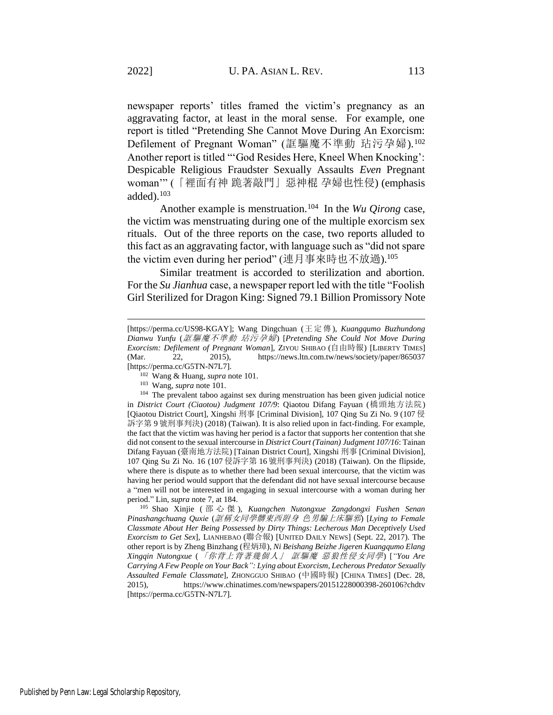newspaper reports' titles framed the victim's pregnancy as an aggravating factor, at least in the moral sense. For example, one report is titled "Pretending She Cannot Move During An Exorcism: Defilement of Pregnant Woman" (誆驅魔不準動 玷污孕婦).<sup>102</sup> Another report is titled "'God Resides Here, Kneel When Knocking': Despicable Religious Fraudster Sexually Assaults *Even* Pregnant woman'" (「裡面有神 跪著敲門」惡神棍 孕婦也性侵) (emphasis added). $103$ 

Another example is menstruation.<sup>104</sup> In the *Wu Qirong* case, the victim was menstruating during one of the multiple exorcism sex rituals. Out of the three reports on the case, two reports alluded to this fact as an aggravating factor, with language such as "did not spare the victim even during her period" (連月事來時也不放過).<sup>105</sup>

<span id="page-24-0"></span>Similar treatment is accorded to sterilization and abortion. For the *Su Jianhua* case, a newspaper report led with the title "Foolish Girl Sterilized for Dragon King: Signed 79.1 Billion Promissory Note

<sup>[</sup>https://perma.cc/US98-KGAY]; Wang Dingchuan (王定傳), *Kuangqumo Buzhundong Dianwu Yunfu* (誆驅魔不準動 玷污孕婦) [*Pretending She Could Not Move During Exorcism: Defilement of Pregnant Woman*], ZIYOU SHIBAO (自由時報) [LIBERTY TIMES] (Mar. 22, 2015), https://news.ltn.com.tw/news/society/paper/865037 [https://perma.cc/G5TN-N7L7].

<sup>102</sup> Wang & Huang, *supra* not[e 101.](#page-23-0)

<sup>103</sup> Wang, *supra* note [101.](#page-23-0)

<sup>&</sup>lt;sup>104</sup> The prevalent taboo against sex during menstruation has been given judicial notice in *District Court (Ciaotou) Judgment 107/9*: Qiaotou Difang Fayuan (橋頭地方法院) [Qiaotou District Court], Xingshi 刑事 [Criminal Division], 107 Qing Su Zi No. 9 (107 侵 訴字第 9 號刑事判決) (2018) (Taiwan). It is also relied upon in fact-finding. For example, the fact that the victim was having her period is a factor that supports her contention that she did not consent to the sexual intercourse in *District Court (Tainan) Judgment 107/16*: Tainan Difang Fayuan (臺南地方法院) [Tainan District Court], Xingshi 刑事 [Criminal Division], 107 Qing Su Zi No. 16 (107 侵訴字第 16 號刑事判決) (2018) (Taiwan). On the flipside, where there is dispute as to whether there had been sexual intercourse, that the victim was having her period would support that the defendant did not have sexual intercourse because a "men will not be interested in engaging in sexual intercourse with a woman during her period." Lin, *supra* note [7,](#page-3-0) at 184.

<sup>105</sup> Shao Xinjie ( 邵心傑 ), *Kuangchen Nutongxue Zangdongxi Fushen Senan Pinashangchuang Quxie* (誆稱女同學髒東西附身 色男騙上床驅邪) [*Lying to Female Classmate About Her Being Possessed by Dirty Things: Lecherous Man Deceptively Used Exorcism to Get Sex*], LIANHEBAO (聯合報) [UNITED DAILY NEWS] (Sept. 22, 2017). The other report is by Zheng Binzhang (程炳璋), *Ni Beishang Beizhe Jigeren Kuangqumo Elang Xingqin Nutongxue* (「你背上背著幾個人」 誆驅魔 惡狼性侵女同學) [*"You Are Carrying A Few People on Your Back": Lying about Exorcism, Lecherous Predator Sexually Assaulted Female Classmate*], ZHONGGUO SHIBAO (中國時報) [CHINA TIMES] (Dec. 28, 2015), https://www.chinatimes.com/newspapers/20151228000398-260106?chdtv [https://perma.cc/G5TN-N7L7].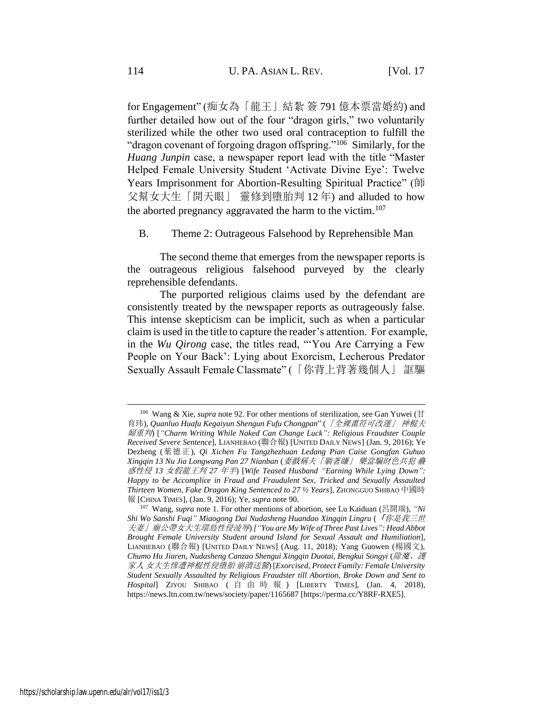<span id="page-25-0"></span>for Engagement" (痴女為「龍王」結紮 簽 791 億本票當婚約) and further detailed how out of the four "dragon girls," two voluntarily sterilized while the other two used oral contraception to fulfill the "dragon covenant of forgoing dragon offspring."<sup>106</sup> Similarly, for the *Huang Junpin* case, a newspaper report lead with the title "Master Helped Female University Student 'Activate Divine Eye': Twelve Years Imprisonment for Abortion-Resulting Spiritual Practice" (師 父幫女大生「開天眼」 靈修到墮胎判 12 年) and alluded to how the aborted pregnancy aggravated the harm to the victim.<sup>107</sup>

<span id="page-25-1"></span>B. Theme 2: Outrageous Falsehood by Reprehensible Man

The second theme that emerges from the newspaper reports is the outrageous religious falsehood purveyed by the clearly reprehensible defendants.

The purported religious claims used by the defendant are consistently treated by the newspaper reports as outrageously false. This intense skepticism can be implicit, such as when a particular claim is used in the title to capture the reader's attention. For example, in the *Wu Qirong* case, the titles read, "'You Are Carrying a Few People on Your Back': Lying about Exorcism, Lecherous Predator Sexually Assault Female Classmate" (「你背上背著幾個人」 誆驅

<sup>&</sup>lt;sup>106</sup> Wang & Xie, *supra* note [92.](#page-21-1) For other mentions of sterilization, see Gan Yuwei ( $\#$ 育玮), *Quanluo Huafu Kegaiyun Shengun Fufu Chongpan*" (「全裸畫符可改運」 神棍夫 婦重判) [*"Charm Writing While Naked Can Change Luck": Religious Fraudster Couple Received Severe Sentence*], LIANHEBAO (聯合報) [UNITED DAILY NEWS] (Jan. 9, 2016); Ye Dezheng (葉德正), *Qi Xichen Fu Tangzhezhuan Ledang Pian Caise Gongfan Guhuo Xingqin 13 Nu Jia Longwang Pan 27 Nianban* (妻戲稱夫「躺著賺」 樂當騙財色共犯 蠱 惑性侵 *13* 女假龍王判 *27* 年半) [*Wife Teased Husband "Earning While Lying Down": Happy to be Accomplice in Fraud and Fraudulent Sex, Tricked and Sexually Assaulted Thirteen Women, Fake Dragon King Sentenced to 27 ½ Years*], ZHONGGUO SHIBAO中國時 報 [CHINA TIMES], (Jan. 9, 2016); Ye, *supra* note [90.](#page-21-0)

<sup>107</sup> Wang, *supra* not[e 1.](#page-1-0) For other mentions of abortion, see Lu Kaiduan (呂開瑞), *"Ni Shi Wo Sanshi Fuqi" Miaogong Dai Nudasheng Huandao Xingqin Lingru* (「你是我三世 夫妻」廟公帶女大生環島性侵淩辱) *["You are My Wife of Three Past Lives": Head Abbot Brought Female University Student around Island for Sexual Assault and Humiliation*], LIANHEBAO (聯合報) [UNITED DAILY NEWS] (Aug. 11, 2018); Yang Guowen (楊國文), *Chumo Hu Jiaren, Nudasheng Canzao Shengui Xingqin Duotai, Bengkui Songyi* (除魔、護 家人 女大生慘遭神棍性侵墮胎 崩潰送醫) [*Exorcised, Protect Family: Female University Student Sexually Assaulted by Religious Fraudster till Abortion, Broke Down and Sent to Hospital*] ZIYOU SHIBAO ( 自由時報 ) [LIBERTY TIMES], (Jan. 4, 2018), https://news.ltn.com.tw/news/society/paper/1165687 [https://perma.cc/Y8RF-RXE5].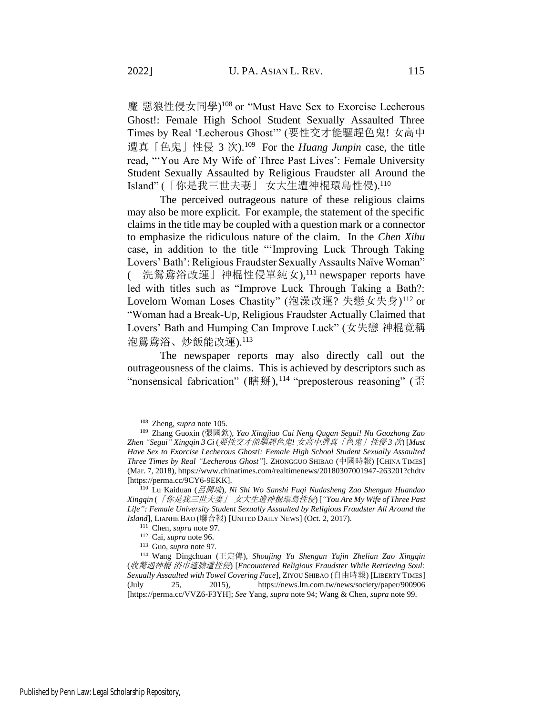魔 惡狼性侵女同學) <sup>108</sup> or "Must Have Sex to Exorcise Lecherous Ghost!: Female High School Student Sexually Assaulted Three Times by Real 'Lecherous Ghost'" (要性交才能驅趕色鬼! 女高中 遭真「色鬼」性侵 3 次).<sup>109</sup> For the *Huang Junpin* case, the title read, "'You Are My Wife of Three Past Lives': Female University Student Sexually Assaulted by Religious Fraudster all Around the Island" (「你是我三世夫妻」 女大生遭神棍環島性侵).<sup>110</sup>

<span id="page-26-2"></span>The perceived outrageous nature of these religious claims may also be more explicit. For example, the statement of the specific claims in the title may be coupled with a question mark or a connector to emphasize the ridiculous nature of the claim. In the *Chen Xihu* case, in addition to the title "'Improving Luck Through Taking Lovers' Bath': Religious Fraudster Sexually Assaults Naïve Woman" (「洗鴛鴦浴改運」神棍性侵單純女),<sup>111</sup> newspaper reports have led with titles such as "Improve Luck Through Taking a Bath?: Lovelorn Woman Loses Chastity" (泡澡改運? 失戀女失身) <sup>112</sup> or "Woman had a Break-Up, Religious Fraudster Actually Claimed that Lovers' Bath and Humping Can Improve Luck" (女失戀 神棍竟稱 泡鴛鴦浴、炒飯能改運).<sup>113</sup>

<span id="page-26-3"></span><span id="page-26-1"></span>The newspaper reports may also directly call out the outrageousness of the claims. This is achieved by descriptors such as "nonsensical fabrication" (瞎掰),<sup>114</sup> "preposterous reasoning" (歪

<span id="page-26-0"></span><sup>108</sup> Zheng, *supra* not[e 105.](#page-24-0)

<sup>109</sup> Zhang Guoxin (張國欽), *Yao Xingjiao Cai Neng Qugan Segui! Nu Gaozhong Zao Zhen "Segui" Xingqin 3 Ci* (要性交才能驅趕色鬼*!* 女高中遭真「色鬼」性侵 *3* 次) [*Must Have Sex to Exorcise Lecherous Ghost!: Female High School Student Sexually Assaulted Three Times by Real "Lecherous Ghost"*]. ZHONGGUO SHIBAO (中國時報) [CHINA TIMES] (Mar. 7, 2018), https://www.chinatimes.com/realtimenews/20180307001947-263201?chdtv [https://perma.cc/9CY6-9EKK].

<sup>110</sup> Lu Kaiduan (呂開瑞), *Ni Shi Wo Sanshi Fuqi Nudasheng Zao Shengun Huandao Xingqin* (「你是我三世夫妻」 女大生遭神棍環島性侵) [*"You Are My Wife of Three Past Life": Female University Student Sexually Assaulted by Religious Fraudster All Around the Island*], LIANHE BAO (聯合報) [UNITED DAILY NEWS] (Oct. 2, 2017).

<sup>111</sup> Chen, *supra* not[e 97.](#page-23-1)

<sup>112</sup> Cai, *supra* note [96.](#page-22-0)

<sup>113</sup> Guo, *supra* note [97.](#page-23-1)

<sup>114</sup> Wang Dingchuan (王定傳), *Shoujing Yu Shengun Yujin Zhelian Zao Xingqin* (收驚遇神棍 浴巾遮臉遭性侵) [*Encountered Religious Fraudster While Retrieving Soul: Sexually Assaulted with Towel Covering Face*], ZIYOU SHIBAO (自由時報) [LIBERTY TIMES] (July 25, 2015), https://news.ltn.com.tw/news/society/paper/900906 [https://perma.cc/VVZ6-F3YH]; *See* Yang, *supra* note [94;](#page-22-1) Wang & Chen, *supra* not[e 99.](#page-23-2)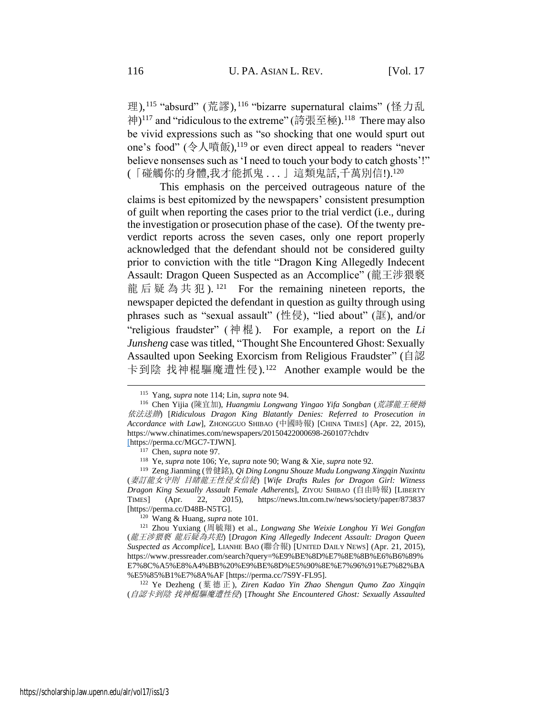<span id="page-27-1"></span><span id="page-27-0"></span>理),<sup>115</sup> "absurd" (荒謬),<sup>116</sup> "bizarre supernatural claims" (怪力乱 神) <sup>117</sup> and "ridiculous to the extreme" (誇張至極).<sup>118</sup> There may also be vivid expressions such as "so shocking that one would spurt out one's food" (令人噴飯),<sup>119</sup> or even direct appeal to readers "never believe nonsenses such as 'I need to touch your body to catch ghosts'!" (「碰觸你的身體,我才能抓鬼 . . . 」這類鬼話,千萬別信!). 120

This emphasis on the perceived outrageous nature of the claims is best epitomized by the newspapers' consistent presumption of guilt when reporting the cases prior to the trial verdict (i.e., during the investigation or prosecution phase of the case). Of the twenty preverdict reports across the seven cases, only one report properly acknowledged that the defendant should not be considered guilty prior to conviction with the title "Dragon King Allegedly Indecent Assault: Dragon Queen Suspected as an Accomplice" (龍王涉猥褻 龍后疑為共犯 ). 121 For the remaining nineteen reports, the newspaper depicted the defendant in question as guilty through using phrases such as "sexual assault" (性侵), "lied about" (誆), and/or "religious fraudster" ( 神 棍 ). For example, a report on the *Li Junsheng* case was titled, "Thought She Encountered Ghost: Sexually Assaulted upon Seeking Exorcism from Religious Fraudster" (自認 卡到陰 找神棍驅魔遭性侵). 122 Another example would be the

<sup>120</sup> Wang & Huang, *supra* not[e 101.](#page-23-0)

<sup>122</sup> Ye Dezheng ( 葉德正 ), *Ziren Kadao Yin Zhao Shengun Qumo Zao Xingqin* (自認卡到陰 找神棍驅魔遭性侵) [*Thought She Encountered Ghost: Sexually Assaulted* 

<span id="page-27-2"></span><sup>115</sup> Yang, *supra* note [114;](#page-26-0) Lin, *supra* not[e 94.](#page-22-1)

<sup>116</sup> Chen Yijia (陳宜加), *Huangmiu Longwang Yingao Yifa Songban* (荒謬龍王硬拗 依法送辦) [*Ridiculous Dragon King Blatantly Denies: Referred to Prosecution in Accordance with Law*], ZHONGGUO SHIBAO (中國時報) [CHINA TIMES] (Apr. 22, 2015), https://www.chinatimes.com/newspapers/20150422000698-260107?chdtv [https://perma.cc/MGC7-TJWN].

<sup>117</sup> Chen, *supra* not[e 97.](#page-23-1)

<sup>118</sup> Ye, *supra* note [106;](#page-25-0) Ye, *supra* not[e 90;](#page-21-0) Wang & Xie, *supra* not[e 92.](#page-21-1)

<sup>119</sup> Zeng Jianming (曾健銘), *Qi Ding Longnu Shouze Mudu Longwang Xingqin Nuxintu* (妻訂龍女守則 目睹龍王性侵女信徒) [*Wife Drafts Rules for Dragon Girl: Witness Dragon King Sexually Assault Female Adherents*], ZIYOU SHIBAO (自由時報) [LIBERTY TIMES] (Apr. 22, 2015), https://news.ltn.com.tw/news/society/paper/873837 [https://perma.cc/D48B-N5TG].

<sup>121</sup> Zhou Yuxiang (周毓翔) et al., *Longwang She Weixie Longhou Yi Wei Gongfan* (龍王涉猥褻 龍后疑為共犯) [*Dragon King Allegedly Indecent Assault: Dragon Queen Suspected as Accomplice*], LIANHE BAO (聯合報) [UNITED DAILY NEWS] (Apr. 21, 2015), https://www.pressreader.com/search?query=%E9%BE%8D%E7%8E%8B%E6%B6%89% E7%8C%A5%E8%A4%BB%20%E9%BE%8D%E5%90%8E%E7%96%91%E7%82%BA %E5%85%B1%E7%8A%AF [https://perma.cc/7S9Y-FL95].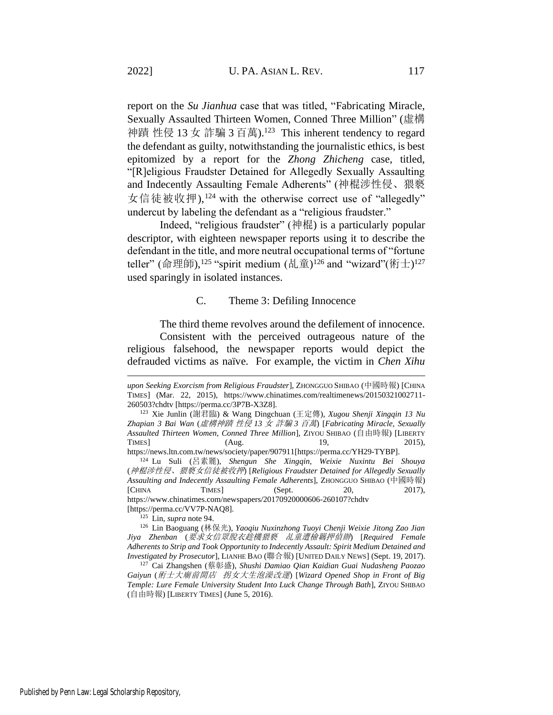report on the *Su Jianhua* case that was titled, "Fabricating Miracle, Sexually Assaulted Thirteen Women, Conned Three Million" (虛構 神蹟 性侵 13 女 詐騙 3 百萬).<sup>123</sup> This inherent tendency to regard the defendant as guilty, notwithstanding the journalistic ethics, is best epitomized by a report for the *Zhong Zhicheng* case, titled, "[R]eligious Fraudster Detained for Allegedly Sexually Assaulting and Indecently Assaulting Female Adherents" (神棍涉性侵、猥褻 女信徒被收押),<sup>124</sup> with the otherwise correct use of "allegedly" undercut by labeling the defendant as a "religious fraudster."

Indeed, "religious fraudster" (神棍) is a particularly popular descriptor, with eighteen newspaper reports using it to describe the defendant in the title, and more neutral occupational terms of "fortune teller" (命理師),<sup>125</sup> "spirit medium (乩童)<sup>126</sup> and "wizard"(術士)<sup>127</sup> used sparingly in isolated instances.

#### <span id="page-28-0"></span>C. Theme 3: Defiling Innocence

The third theme revolves around the defilement of innocence. Consistent with the perceived outrageous nature of the religious falsehood, the newspaper reports would depict the defrauded victims as naïve. For example, the victim in *Chen Xihu*

[https://perma.cc/VV7P-NAQ8].

<sup>125</sup> Lin, *supra* note [94.](#page-22-1)

*upon Seeking Exorcism from Religious Fraudster*], ZHONGGUO SHIBAO (中國時報) [CHINA TIMES] (Mar. 22, 2015), https://www.chinatimes.com/realtimenews/20150321002711- 260503?chdtv [https://perma.cc/3P7B-X3Z8].

<sup>123</sup> Xie Junlin (謝君臨) & Wang Dingchuan (王定傳), *Xugou Shenji Xingqin 13 Nu Zhapian 3 Bai Wan* (虛構神蹟 性侵 *13* 女 詐騙 *3* 百萬) [*Fabricating Miracle, Sexually Assaulted Thirteen Women, Conned Three Million*], ZIYOU SHIBAO (自由時報) [LIBERTY TIMES] (Aug. 19, 2015), https://news.ltn.com.tw/news/society/paper/907911[https://perma.cc/YH29-TYBP].

<sup>124</sup> Lu Suli (呂素麗), *Shengun She Xingqin, Weixie Nuxintu Bei Shouya* (神棍涉性侵、猥褻女信徒被收押) [*Religious Fraudster Detained for Allegedly Sexually Assaulting and Indecently Assaulting Female Adherents*], ZHONGGUO SHIBAO (中國時報) [CHINA TIMES] (Sept. 20, 2017), https://www.chinatimes.com/newspapers/20170920000606-260107?chdtv

<sup>126</sup> Lin Baoguang (林保光), *Yaoqiu Nuxinzhong Tuoyi Chenji Weixie Jitong Zao Jian Jiya Zhenban* (要求女信眾脫衣趁機猥褻 乩童遭檢羈押偵辦) [*Required Female Adherents to Strip and Took Opportunity to Indecently Assault: Spirit Medium Detained and Investigated by Prosecutor*], LIANHE BAO (聯合報) [UNITED DAILY NEWS] (Sept. 19, 2017).

<sup>127</sup> Cai Zhangshen (蔡彰盛), *Shushi Damiao Qian Kaidian Guai Nudasheng Paozao Gaiyun* (術士大廟前開店 拐女大生泡澡改運) [*Wizard Opened Shop in Front of Big Temple: Lure Female University Student Into Luck Change Through Bath*], ZIYOU SHIBAO (自由時報) [LIBERTY TIMES] (June 5, 2016).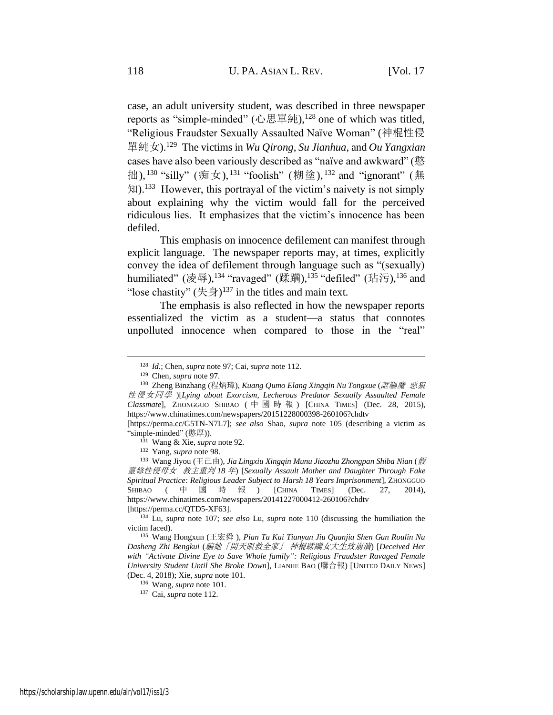case, an adult university student, was described in three newspaper reports as "simple-minded" (心思單純), $128$  one of which was titled, "Religious Fraudster Sexually Assaulted Naïve Woman" (神棍性侵 單純女).<sup>129</sup> The victims in *Wu Qirong*, *Su Jianhua*, and *Ou Yangxian* cases have also been variously described as "naïve and awkward" (憨 拙), <sup>130</sup> "silly" (痴女), <sup>131</sup> "foolish" (糊塗), <sup>132</sup> and "ignorant" (無 知).<sup>133</sup> However, this portrayal of the victim's naivety is not simply about explaining why the victim would fall for the perceived ridiculous lies. It emphasizes that the victim's innocence has been defiled.

This emphasis on innocence defilement can manifest through explicit language. The newspaper reports may, at times, explicitly convey the idea of defilement through language such as "(sexually) humiliated" (凌辱),<sup>134</sup> "ravaged" (蹂躏),<sup>135</sup> "defiled" (玷污),<sup>136</sup> and "lose chastity"  $(\text{\textsterling}\frac{1}{2})^{137}$  in the titles and main text.

<span id="page-29-0"></span>The emphasis is also reflected in how the newspaper reports essentialized the victim as a student—a status that connotes unpolluted innocence when compared to those in the "real"

<sup>133</sup> Wang Jiyou (王己由), *Jia Lingxiu Xingqin Munu Jiaozhu Zhongpan Shiba Nian* (假 靈修性侵母女 教主重判 *18* 年) [*Sexually Assault Mother and Daughter Through Fake Spiritual Practice: Religious Leader Subject to Harsh 18 Years Imprisonment*], ZHONGGUO SHIBAO ( 中 國 時 報 ) [CHINA TIMES] (Dec. 27, 2014), https://www.chinatimes.com/newspapers/20141227000412-260106?chdtv [https://perma.cc/QTD5-XF63].

<sup>128</sup> *Id.*; Chen, *supra* note [97;](#page-23-1) Cai, *supra* note [112.](#page-26-1)

<sup>129</sup> Chen, *supra* not[e 97.](#page-23-1)

<sup>130</sup> Zheng Binzhang (程炳璋), *Kuang Qumo Elang Xingqin Nu Tongxue* (誆驅魔 惡狼 性侵女同學 )[*Lying about Exorcism, Lecherous Predator Sexually Assaulted Female Classmate*], ZHONGGUO SHIBAO ( 中國時報 ) [CHINA TIMES] (Dec. 28, 2015), https://www.chinatimes.com/newspapers/20151228000398-260106?chdtv

<sup>[</sup>https://perma.cc/G5TN-N7L7]; *see also* Shao, *supra* note [105](#page-24-0) (describing a victim as "simple-minded" (憨厚)).

<sup>131</sup> Wang & Xie, *supra* not[e 92.](#page-21-1)

<sup>132</sup> Yang, *supra* note [98.](#page-23-3)

<sup>134</sup> Lu, *supra* note [107;](#page-25-1) *see also* Lu, *supra* note [110](#page-26-2) (discussing the humiliation the victim faced).

<sup>135</sup> Wang Hongxun (王宏舜 ), *Pian Ta Kai Tianyan Jiu Quanjia Shen Gun Roulin Nu Dasheng Zhi Bengkui* (騙她「開天眼救全家」 神棍蹂躪女大生致崩潰) [*Deceived Her with "Activate Divine Eye to Save Whole family": Religious Fraudster Ravaged Female University Student Until She Broke Down*], LIANHE BAO (聯合報) [UNITED DAILY NEWS] (Dec. 4, 2018); Xie, *supra* note [101.](#page-23-0)

<sup>136</sup> Wang, *supra* note [101.](#page-23-0)

<sup>137</sup> Cai, *supra* note [112.](#page-26-1)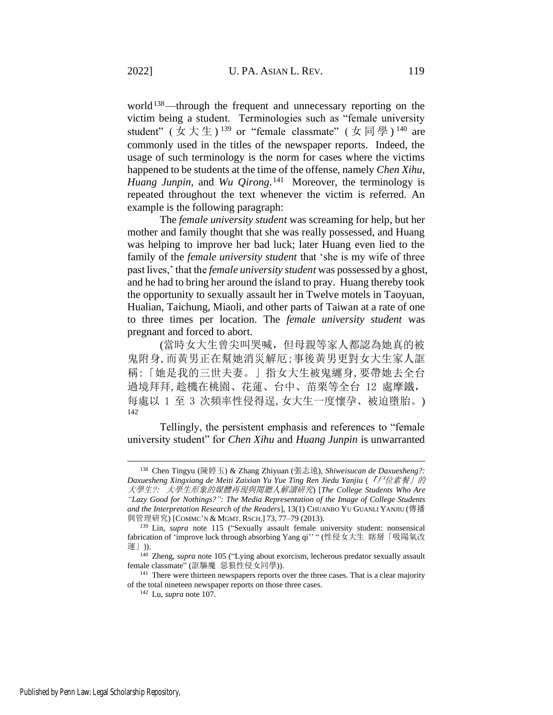world<sup>138</sup>—through the frequent and unnecessary reporting on the victim being a student. Terminologies such as "female university student" (女大生)<sup>139</sup> or "female classmate" (女同學)<sup>140</sup> are commonly used in the titles of the newspaper reports. Indeed, the usage of such terminology is the norm for cases where the victims happened to be students at the time of the offense, namely *Chen Xihu*, *Huang Junpin,* and *Wu Qirong*. 141 Moreover, the terminology is repeated throughout the text whenever the victim is referred. An example is the following paragraph:

The *female university student* was screaming for help, but her mother and family thought that she was really possessed, and Huang was helping to improve her bad luck; later Huang even lied to the family of the *female university student* that 'she is my wife of three past lives,' that the *female university student* was possessed by a ghost, and he had to bring her around the island to pray. Huang thereby took the opportunity to sexually assault her in Twelve motels in Taoyuan, Hualian, Taichung, Miaoli, and other parts of Taiwan at a rate of one to three times per location. The *female university student* was pregnant and forced to abort.

(當時女大生曾尖叫哭喊,但母親等家人都認為她真的被 鬼附身,而黃男正在幫她消災解厄;事後黃男更對女大生家人誆 稱:「她是我的三世夫妻。」指女大生被鬼纏身,要帶她去全台 過境拜拜,趁機在桃園、花蓮、台中、苗栗等全台 12 處摩鐵, 每處以 1 至 3 次頻率性侵得逞,女大生一度懷孕、被迫墮胎。) 142

Tellingly, the persistent emphasis and references to "female university student" for *Chen Xihu* and *Huang Junpin* is unwarranted

<sup>138</sup> Chen Tingyu (陳婷玉) & Zhang Zhiyuan (張志遠), *Shiweisucan de Daxuesheng?: Daxuesheng Xingxiang de Meiti Zaixian Yu Yue Ting Ren Jiedu Yanjiu* (「尸位素餐」的 大學生?: 大學生形象的媒體再現與閱聽人解讀研究) [*The College Students Who Are "Lazy Good for Nothings?": The Media Representation of the Image of College Students and the Interpretation Research of the Readers*], 13(1) CHUANBO YU GUANLI YANJIU (傳播 與管理研究) [COMMC'N & MGMT. RSCH.] 73, 77–79 (2013).

<sup>139</sup> Lin, *supra* note [115](#page-27-0) ("Sexually assault female university student: nonsensical fabrication of 'improve luck through absorbing Yang qi'' " (性侵女大生 瞎掰「吸陽氣改 運」)).

<sup>&</sup>lt;sup>140</sup> Zheng, *supra* note [105](#page-24-0) ("Lying about exorcism, lecherous predator sexually assault female classmate" (誆驅魔 惡狼性侵女同學)).

<sup>&</sup>lt;sup>141</sup> There were thirteen newspapers reports over the three cases. That is a clear majority of the total nineteen newspaper reports on those three cases.

<sup>142</sup> Lu, *supra* not[e 107.](#page-25-1)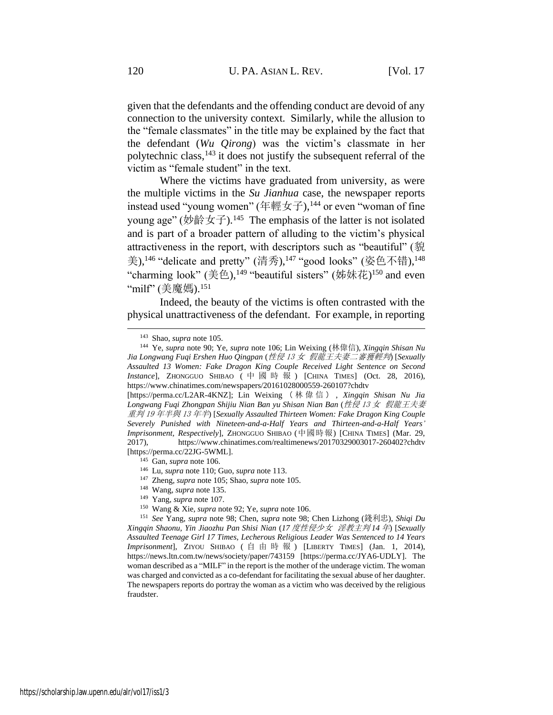given that the defendants and the offending conduct are devoid of any connection to the university context. Similarly, while the allusion to the "female classmates" in the title may be explained by the fact that the defendant (*Wu Qirong*) was the victim's classmate in her polytechnic class,  $143$  it does not justify the subsequent referral of the victim as "female student" in the text.

Where the victims have graduated from university, as were the multiple victims in the *Su Jianhua* case, the newspaper reports instead used "young women" (年輕女子),<sup>144</sup> or even "woman of fine young age" (妙齡女子).<sup>145</sup> The emphasis of the latter is not isolated and is part of a broader pattern of alluding to the victim's physical attractiveness in the report, with descriptors such as "beautiful" (貌 美), $146$  "delicate and pretty" (清秀), $147$  "good looks" (姿色不错), $148$ "charming look" (美色),<sup>149</sup> "beautiful sisters" (姊妹花)<sup>150</sup> and even "milf" (美魔媽).<sup>151</sup>

Indeed, the beauty of the victims is often contrasted with the physical unattractiveness of the defendant. For example, in reporting

- <sup>147</sup> Zheng, *supra* not[e 105;](#page-24-0) Shao, *supra* not[e 105.](#page-24-0)
- <sup>148</sup> Wang, *supra* note [135.](#page-29-0)
- <sup>149</sup> Yang, *supra* note [107.](#page-25-1)
- <sup>150</sup> Wang & Xie, *supra* not[e 92;](#page-21-1) Ye, *supra* not[e 106.](#page-25-0)

<sup>143</sup> Shao, *supra* not[e 105.](#page-24-0)

<sup>144</sup> Ye, *supra* note [90;](#page-21-0) Ye, *supra* note [106;](#page-25-0) Lin Weixing (林偉信), *Xingqin Shisan Nu Jia Longwang Fuqi Ershen Huo Qingpan* (性侵 <sup>13</sup> 女 假龍王夫妻二審獲輕判) [*Sexually Assaulted 13 Women: Fake Dragon King Couple Received Light Sentence on Second Instance*], ZHONGGUO SHIBAO ( 中 國 時 報 ) [CHINA TIMES] (Oct. 28, 2016), https://www.chinatimes.com/newspapers/20161028000559-260107?chdtv

<sup>[</sup>https://perma.cc/L2AR-4KNZ]; Lin Weixing ( 林 偉 信 ) , *Xingqin Shisan Nu Jia Longwang Fuqi Zhongpan Shijiu Nian Ban yu Shisan Nian Ban* (性侵 <sup>13</sup> 女 假龍王夫妻 重判 <sup>19</sup> 年半與 <sup>13</sup> 年半) [*Sexually Assaulted Thirteen Women: Fake Dragon King Couple Severely Punished with Nineteen-and-a-Half Years and Thirteen-and-a-Half Years' Imprisonment, Respectively*], ZHONGGUO SHIBAO (中國時報) [CHINA TIMES] (Mar. 29, 2017), https://www.chinatimes.com/realtimenews/20170329003017-260402?chdtv [https://perma.cc/22JG-5WML].

<sup>145</sup> Gan, *supra* not[e 106.](#page-25-0)

<sup>146</sup> Lu, *supra* not[e 110;](#page-26-2) Guo, *supra* note [113.](#page-26-3)

<sup>151</sup> *See* Yang, *supra* note [98;](#page-23-3) Chen, *supra* note [98;](#page-23-3) Chen Lizhong (錢利忠), *Shiqi Du Xingqin Shaonu, Yin Jiaozhu Pan Shisi Nian* (*17* 度性侵少女 淫教主判 *14* 年) [*Sexually Assaulted Teenage Girl 17 Times, Lecherous Religious Leader Was Sentenced to 14 Years Imprisonment*], ZIYOU SHIBAO ( 自 由 時 報 ) [LIBERTY TIMES] (Jan. 1, 2014), https://news.ltn.com.tw/news/society/paper/743159 [https://perma.cc/JYA6-UDLY]. The woman described as a "MILF" in the report is the mother of the underage victim. The woman was charged and convicted as a co-defendant for facilitating the sexual abuse of her daughter. The newspapers reports do portray the woman as a victim who was deceived by the religious fraudster.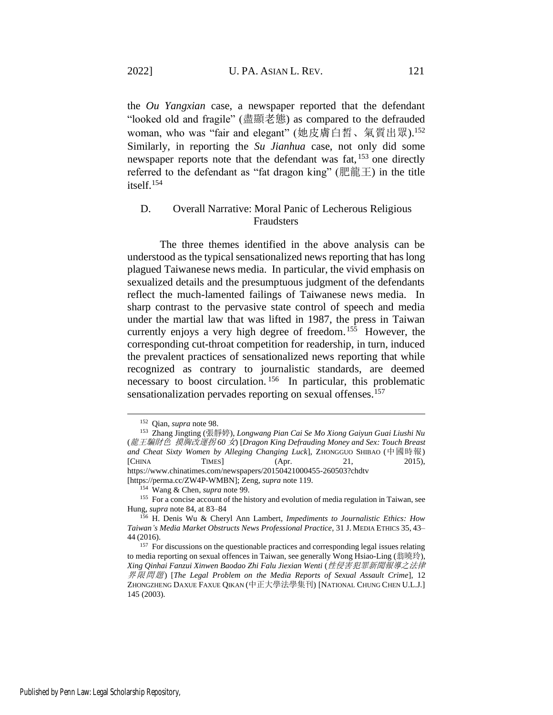the *Ou Yangxian* case, a newspaper reported that the defendant "looked old and fragile" (盡顯老態) as compared to the defrauded woman, who was "fair and elegant" (她皮膚白皙、氣質出眾). 152 Similarly, in reporting the *Su Jianhua* case, not only did some newspaper reports note that the defendant was fat, <sup>153</sup> one directly referred to the defendant as "fat dragon king" (肥龍王) in the title itself.<sup>154</sup>

### D. Overall Narrative: Moral Panic of Lecherous Religious Fraudsters

The three themes identified in the above analysis can be understood as the typical sensationalized news reporting that has long plagued Taiwanese news media. In particular, the vivid emphasis on sexualized details and the presumptuous judgment of the defendants reflect the much-lamented failings of Taiwanese news media. In sharp contrast to the pervasive state control of speech and media under the martial law that was lifted in 1987, the press in Taiwan currently enjoys a very high degree of freedom.<sup>155</sup> However, the corresponding cut-throat competition for readership, in turn, induced the prevalent practices of sensationalized news reporting that while recognized as contrary to journalistic standards, are deemed necessary to boost circulation.<sup>156</sup> In particular, this problematic sensationalization pervades reporting on sexual offenses.<sup>157</sup>

<sup>152</sup> Qian, *supra* note [98.](#page-23-3)

<sup>153</sup> Zhang Jingting (張靜婷), *Longwang Pian Cai Se Mo Xiong Gaiyun Guai Liushi Nu*  (龍王騙財色 摸胸改運拐 *60* 女) [*Dragon King Defrauding Money and Sex: Touch Breast and Cheat Sixty Women by Alleging Changing Luck*], ZHONGGUO SHIBAO (中國時報) [CHINA TIMES] (Apr. 21, 2015), https://www.chinatimes.com/newspapers/20150421000455-260503?chdtv [https://perma.cc/ZW4P-WMBN]; Zeng, *supra* note [119.](#page-27-1)

<sup>154</sup> Wang & Chen, *supra* not[e 99.](#page-23-2)

<sup>&</sup>lt;sup>155</sup> For a concise account of the history and evolution of media regulation in Taiwan, see Hung, *supra* note [84,](#page-18-0) at 83–84

<sup>156</sup> H. Denis Wu & Cheryl Ann Lambert, *Impediments to Journalistic Ethics: How Taiwan's Media Market Obstructs News Professional Practice*, 31 J. MEDIA ETHICS 35, 43– 44 (2016).

<sup>&</sup>lt;sup>157</sup> For discussions on the questionable practices and corresponding legal issues relating to media reporting on sexual offences in Taiwan, see generally Wong Hsiao-Ling (翁曉玲), *Xing Qinhai Fanzui Xinwen Baodao Zhi Falu Jiexian Wenti* (性侵害犯罪新聞報導之法律 界限問題) [*The Legal Problem on the Media Reports of Sexual Assault Crime*], 12 ZHONGZHENG DAXUE FAXUE QIKAN (中正大學法學集刊) [NATIONAL CHUNG CHEN U.L.J.] 145 (2003).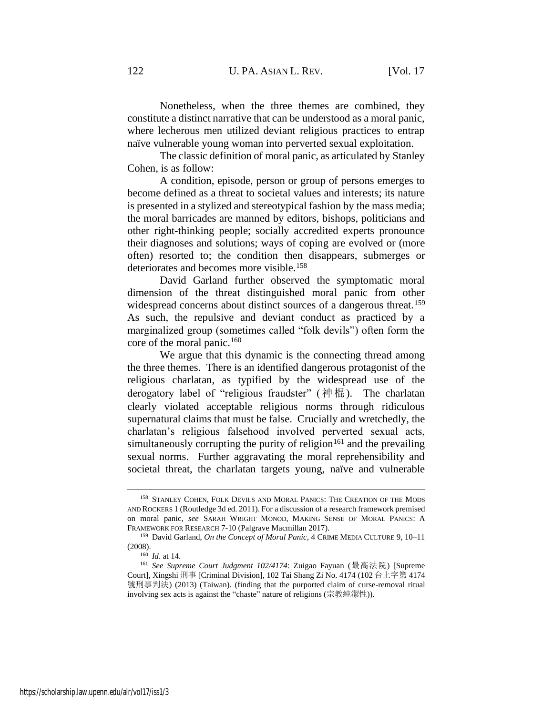Nonetheless, when the three themes are combined, they constitute a distinct narrative that can be understood as a moral panic, where lecherous men utilized deviant religious practices to entrap naïve vulnerable young woman into perverted sexual exploitation.

The classic definition of moral panic, as articulated by Stanley Cohen, is as follow:

A condition, episode, person or group of persons emerges to become defined as a threat to societal values and interests; its nature is presented in a stylized and stereotypical fashion by the mass media; the moral barricades are manned by editors, bishops, politicians and other right-thinking people; socially accredited experts pronounce their diagnoses and solutions; ways of coping are evolved or (more often) resorted to; the condition then disappears, submerges or deteriorates and becomes more visible.<sup>158</sup>

David Garland further observed the symptomatic moral dimension of the threat distinguished moral panic from other widespread concerns about distinct sources of a dangerous threat.<sup>159</sup> As such, the repulsive and deviant conduct as practiced by a marginalized group (sometimes called "folk devils") often form the core of the moral panic.<sup>160</sup>

We argue that this dynamic is the connecting thread among the three themes. There is an identified dangerous protagonist of the religious charlatan, as typified by the widespread use of the derogatory label of "religious fraudster" (神棍). The charlatan clearly violated acceptable religious norms through ridiculous supernatural claims that must be false. Crucially and wretchedly, the charlatan's religious falsehood involved perverted sexual acts, simultaneously corrupting the purity of religion<sup>161</sup> and the prevailing sexual norms. Further aggravating the moral reprehensibility and societal threat, the charlatan targets young, naïve and vulnerable

<sup>&</sup>lt;sup>158</sup> STANLEY COHEN, FOLK DEVILS AND MORAL PANICS: THE CREATION OF THE MODS AND ROCKERS 1 (Routledge 3d ed. 2011). For a discussion of a research framework premised on moral panic, *see* SARAH WRIGHT MONOD, MAKING SENSE OF MORAL PANICS: A FRAMEWORK FOR RESEARCH 7-10 (Palgrave Macmillan 2017).

<sup>159</sup> David Garland, *On the Concept of Moral Panic*, 4 CRIME MEDIA CULTURE 9, 10–11 (2008).

<sup>160</sup> *Id*. at 14.

<sup>161</sup> *See Supreme Court Judgment 102/4174*: Zuigao Fayuan (最高法院) [Supreme Court], Xingshi 刑事 [Criminal Division], 102 Tai Shang Zi No. 4174 (102 台上字第 4174 號刑事判決) (2013) (Taiwan). (finding that the purported claim of curse-removal ritual involving sex acts is against the "chaste" nature of religions (宗教純潔性)).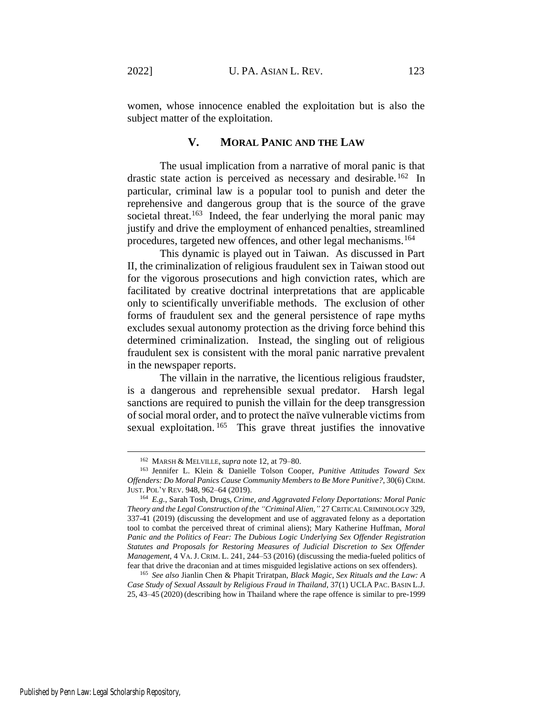women, whose innocence enabled the exploitation but is also the subject matter of the exploitation.

### **V. MORAL PANIC AND THE LAW**

The usual implication from a narrative of moral panic is that drastic state action is perceived as necessary and desirable.<sup>162</sup> In particular, criminal law is a popular tool to punish and deter the reprehensive and dangerous group that is the source of the grave societal threat.<sup>163</sup> Indeed, the fear underlying the moral panic may justify and drive the employment of enhanced penalties, streamlined procedures, targeted new offences, and other legal mechanisms.<sup>164</sup>

This dynamic is played out in Taiwan. As discussed in Part II, the criminalization of religious fraudulent sex in Taiwan stood out for the vigorous prosecutions and high conviction rates, which are facilitated by creative doctrinal interpretations that are applicable only to scientifically unverifiable methods. The exclusion of other forms of fraudulent sex and the general persistence of rape myths excludes sexual autonomy protection as the driving force behind this determined criminalization. Instead, the singling out of religious fraudulent sex is consistent with the moral panic narrative prevalent in the newspaper reports.

The villain in the narrative, the licentious religious fraudster, is a dangerous and reprehensible sexual predator. Harsh legal sanctions are required to punish the villain for the deep transgression of social moral order, and to protect the naïve vulnerable victims from sexual exploitation.<sup>165</sup> This grave threat justifies the innovative

<sup>162</sup> MARSH & MELVILLE,*supra* note [12,](#page-4-0) at 79–80.

<sup>163</sup> Jennifer L. Klein & Danielle Tolson Cooper, *Punitive Attitudes Toward Sex Offenders: Do Moral Panics Cause Community Members to Be More Punitive?*, 30(6) CRIM. JUST. POL'Y REV. 948, 962–64 (2019).

<sup>164</sup> *E.g.*, Sarah Tosh, Drugs, *Crime, and Aggravated Felony Deportations: Moral Panic Theory and the Legal Construction of the "Criminal Alien,"* 27 CRITICAL CRIMINOLOGY 329, 337-41 (2019) (discussing the development and use of aggravated felony as a deportation tool to combat the perceived threat of criminal aliens); Mary Katherine Huffman, *Moral Panic and the Politics of Fear: The Dubious Logic Underlying Sex Offender Registration*  Statutes and Proposals for Restoring Measures of Judicial Discretion to Sex Offender *Management*, 4 VA.J. CRIM. L. 241, 244–53 (2016) (discussing the media-fueled politics of fear that drive the draconian and at times misguided legislative actions on sex offenders).

<sup>165</sup> *See also* Jianlin Chen & Phapit Triratpan, *Black Magic, Sex Rituals and the Law: A Case Study of Sexual Assault by Religious Fraud in Thailand*, 37(1) UCLA PAC. BASIN L.J. 25, 43–45 (2020) (describing how in Thailand where the rape offence is similar to pre-1999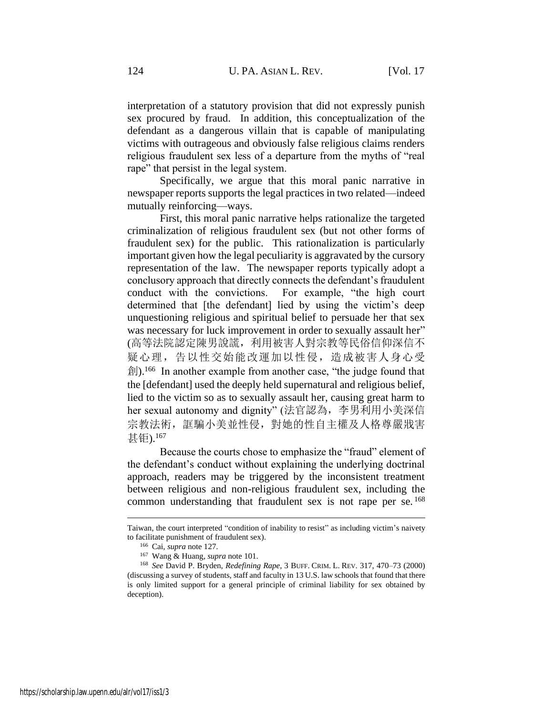interpretation of a statutory provision that did not expressly punish sex procured by fraud. In addition, this conceptualization of the defendant as a dangerous villain that is capable of manipulating victims with outrageous and obviously false religious claims renders religious fraudulent sex less of a departure from the myths of "real rape" that persist in the legal system.

Specifically, we argue that this moral panic narrative in newspaper reports supports the legal practices in two related—indeed mutually reinforcing—ways.

First, this moral panic narrative helps rationalize the targeted criminalization of religious fraudulent sex (but not other forms of fraudulent sex) for the public. This rationalization is particularly important given how the legal peculiarity is aggravated by the cursory representation of the law. The newspaper reports typically adopt a conclusory approach that directly connects the defendant's fraudulent conduct with the convictions. For example, "the high court determined that [the defendant] lied by using the victim's deep unquestioning religious and spiritual belief to persuade her that sex was necessary for luck improvement in order to sexually assault her" (高等法院認定陳男說謊,利用被害人對宗教等民俗信仰深信不 疑心理,告以性交始能改運加以性侵,造成被害人身心受 創).<sup>166</sup> In another example from another case, "the judge found that the [defendant] used the deeply held supernatural and religious belief, lied to the victim so as to sexually assault her, causing great harm to her sexual autonomy and dignity" (法官認為,李男利用小美深信 宗教法術, 誆騙小美並性侵, 對她的性自主權及人格尊嚴戕害 甚钜).<sup>167</sup>

Because the courts chose to emphasize the "fraud" element of the defendant's conduct without explaining the underlying doctrinal approach, readers may be triggered by the inconsistent treatment between religious and non-religious fraudulent sex, including the common understanding that fraudulent sex is not rape per se.<sup>168</sup>

Taiwan, the court interpreted "condition of inability to resist" as including victim's naivety to facilitate punishment of fraudulent sex).

<sup>166</sup> Cai, *supra* note [127.](#page-28-0)

<sup>167</sup> Wang & Huang, *supra* not[e 101.](#page-23-0)

<sup>168</sup> *See* David P. Bryden, *Redefining Rape*, 3 BUFF. CRIM. L. REV. 317, 470–73 (2000) (discussing a survey of students, staff and faculty in 13 U.S. law schools that found that there is only limited support for a general principle of criminal liability for sex obtained by deception).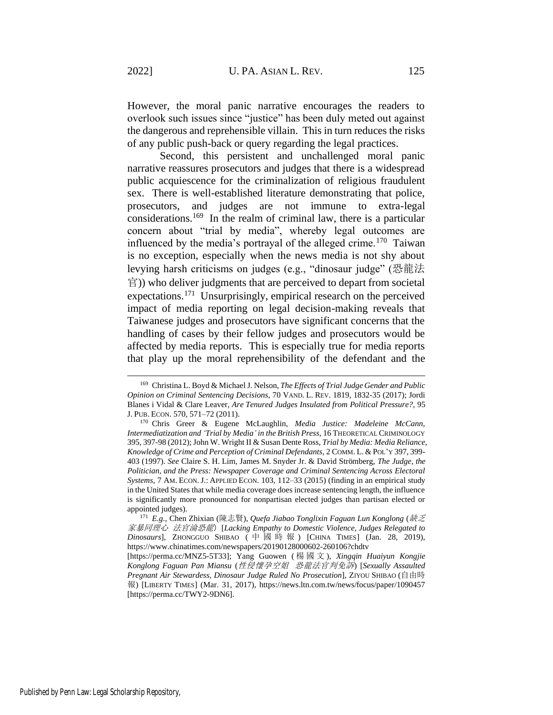However, the moral panic narrative encourages the readers to overlook such issues since "justice" has been duly meted out against the dangerous and reprehensible villain. This in turn reduces the risks of any public push-back or query regarding the legal practices.

Second, this persistent and unchallenged moral panic narrative reassures prosecutors and judges that there is a widespread public acquiescence for the criminalization of religious fraudulent sex. There is well-established literature demonstrating that police, prosecutors, and judges are not immune to extra-legal considerations.<sup>169</sup> In the realm of criminal law, there is a particular concern about "trial by media", whereby legal outcomes are influenced by the media's portrayal of the alleged crime.<sup>170</sup> Taiwan is no exception, especially when the news media is not shy about levying harsh criticisms on judges (e.g., "dinosaur judge" (恐龍法 官)) who deliver judgments that are perceived to depart from societal expectations.<sup>171</sup> Unsurprisingly, empirical research on the perceived impact of media reporting on legal decision-making reveals that Taiwanese judges and prosecutors have significant concerns that the handling of cases by their fellow judges and prosecutors would be affected by media reports. This is especially true for media reports that play up the moral reprehensibility of the defendant and the

<sup>169</sup> Christina L. Boyd & Michael J. Nelson, *The Effects of Trial Judge Gender and Public Opinion on Criminal Sentencing Decisions*, 70 VAND. L. REV. 1819, 1832-35 (2017); Jordi Blanes i Vidal & Clare Leaver, *Are Tenured Judges Insulated from Political Pressure?*, 95 J. PUB. ECON. 570, 571–72 (2011).

<sup>170</sup> Chris Greer & Eugene McLaughlin, *Media Justice: Madeleine McCann, Intermediatization and 'Trial by Media' in the British Press*, 16 THEORETICAL CRIMINOLOGY 395, 397-98 (2012); John W. Wright II & Susan Dente Ross, *Trial by Media: Media Reliance, Knowledge of Crime and Perception of Criminal Defendants*, 2 COMM. L. & POL'Y 397, 399- 403 (1997). *See* Claire S. H. Lim, James M. Snyder Jr. & David Strömberg, *The Judge, the Politician, and the Press: Newspaper Coverage and Criminal Sentencing Across Electoral Systems*, 7 AM. ECON.J.: APPLIED ECON. 103, 112–33 (2015) (finding in an empirical study in the United States that while media coverage does increase sentencing length, the influence is significantly more pronounced for nonpartisan elected judges than partisan elected or appointed judges).

<sup>171</sup> *E.g.*, Chen Zhixian (陳志賢), *Quefa Jiabao Tonglixin Faguan Lun Konglong* (缺乏 家暴同理心 法官淪恐龍)[*Lacking Empathy to Domestic Violence, Judges Relegated to Dinosaurs*], ZHONGGUO SHIBAO ( 中國時報 ) [CHINA TIMES] (Jan. 28, 2019), https://www.chinatimes.com/newspapers/20190128000602-260106?chdtv

<sup>[</sup>https://perma.cc/MNZ5-5T33]; Yang Guowen ( 楊國文 ), *Xingqin Huaiyun Kongjie Konglong Faguan Pan Miansu* (性侵懷孕空姐 恐龍法官判免訴) [*Sexually Assaulted Pregnant Air Stewardess, Dinosaur Judge Ruled No Prosecution*], ZIYOU SHIBAO (自由時 報) [LIBERTY TIMES] (Mar. 31, 2017), https://news.ltn.com.tw/news/focus/paper/1090457 [https://perma.cc/TWY2-9DN6].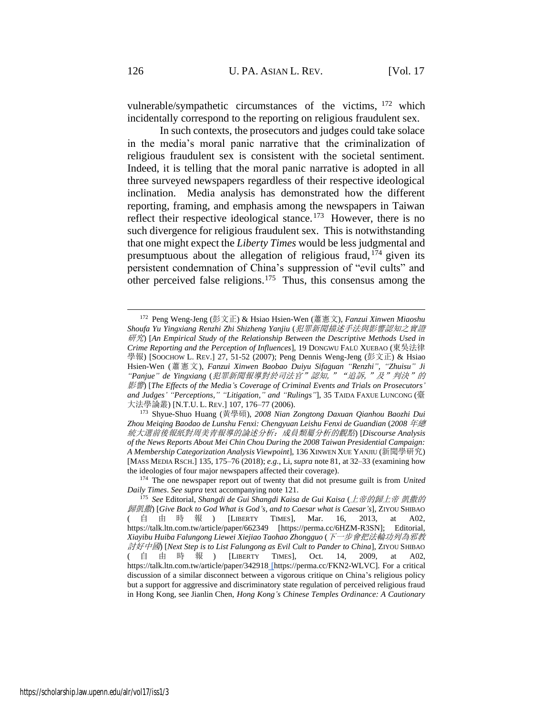vulnerable/sympathetic circumstances of the victims, <sup>172</sup> which incidentally correspond to the reporting on religious fraudulent sex.

In such contexts, the prosecutors and judges could take solace in the media's moral panic narrative that the criminalization of religious fraudulent sex is consistent with the societal sentiment. Indeed, it is telling that the moral panic narrative is adopted in all three surveyed newspapers regardless of their respective ideological inclination. Media analysis has demonstrated how the different reporting, framing, and emphasis among the newspapers in Taiwan reflect their respective ideological stance.<sup>173</sup> However, there is no such divergence for religious fraudulent sex. This is notwithstanding that one might expect the *Liberty Times* would be less judgmental and presumptuous about the allegation of religious fraud,  $174$  given its persistent condemnation of China's suppression of "evil cults" and other perceived false religions.<sup>175</sup> Thus, this consensus among the

<sup>172</sup> Peng Weng-Jeng (彭文正) & Hsiao Hsien-Wen (蕭憲文), *Fanzui Xinwen Miaoshu Shoufa Yu Yingxiang Renzhi Zhi Shizheng Yanjiu* (犯罪新聞描述手法與影響認知之實證 研究) [*An Empirical Study of the Relationship Between the Descriptive Methods Used in Crime Reporting and the Perception of Influences*], 19 DONGWU FALÜ XUEBAO (東吳法律 學報) [SOOCHOW L. REV.] 27, 51-52 (2007); Peng Dennis Weng-Jeng (彭文正) & Hsiao Hsien-Wen (蕭憲文), *Fanzui Xinwen Baobao Duiyu Sifaguan "Renzhi", "Zhuisu" Ji "Panjue" de Yingxiang* (犯罪新聞報導對於司法官"認知,""追訴,"及"判決"的 影響) [*The Effects of the Media's Coverage of Criminal Events and Trials on Prosecutors' and Judges' "Perceptions," "Litigation," and "Rulings"*], 35 TAIDA FAXUE LUNCONG (臺 大法學論叢) [N.T.U. L. REV.] 107, 176–77 (2006).

<sup>173</sup> Shyue-Shuo Huang (黃學碩), *2008 Nian Zongtong Daxuan Qianhou Baozhi Dui Zhou Meiqing Baodao de Lunshu Fenxi: Chengyuan Leishu Fenxi de Guandian* (*2008* 年總 統大選前後報紙對周美青報導的論述分析:成員類屬分析的觀點) [*Discourse Analysis of the News Reports About Mei Chin Chou During the 2008 Taiwan Presidential Campaign: A Membership Categorization Analysis Viewpoint*], 136 XINWEN XUE YANJIU (新聞學研究) [MASS MEDIA RSCH.] 135, 175–76 (2018); *e.g.*, Li, *supra* not[e 81,](#page-17-0) at 32–33 (examining how the ideologies of four major newspapers affected their coverage).

<sup>174</sup> The one newspaper report out of twenty that did not presume guilt is from *United Daily Times*. *See supra* text accompanying note [121.](#page-27-2)

<sup>175</sup> *See* Editorial, *Shangdi de Gui Shangdi Kaisa de Gui Kaisa* (上帝的歸上帝 凱撒的 歸凱撒) [*Give Back to God What is God's, and to Caesar what is Caesar's*], ZIYOU SHIBAO ( 自由時報 ) [LIBERTY TIMES], Mar. 16, 2013, at A02, https://talk.ltn.com.tw/article/paper/662349 [https://perma.cc/6HZM-R3SN]; Editorial, *Xiayibu Huiba Falungong Liewei Xiejiao Taohao Zhongguo* (下一步會把法輪功列為邪教 討好中國) [*Next Step is to List Falungong as Evil Cult to Pander to China*], ZIYOU SHIBAO ( 自由時報 ) [LIBERTY TIMES], Oct. 14, 2009, at A02, https://talk.ltn.com.tw/article/paper/342918 [https://perma.cc/FKN2-WLVC]. For a critical discussion of a similar disconnect between a vigorous critique on China's religious policy but a support for aggressive and discriminatory state regulation of perceived religious fraud in Hong Kong, see Jianlin Chen, *Hong Kong's Chinese Temples Ordinance: A Cautionary*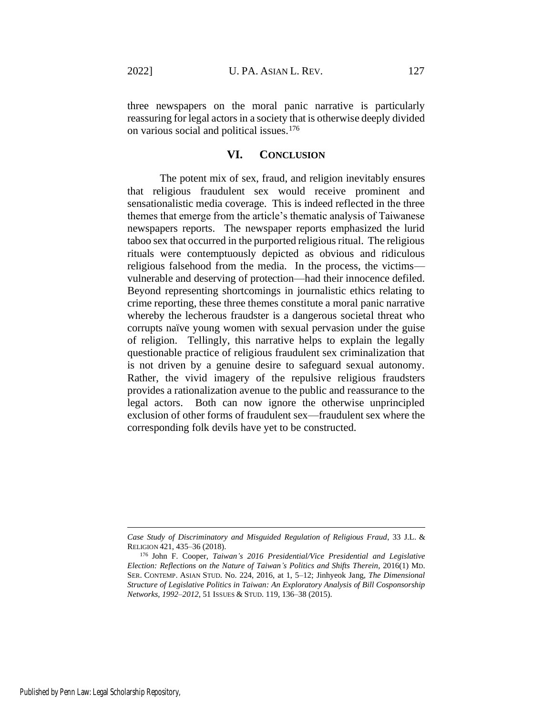three newspapers on the moral panic narrative is particularly reassuring for legal actors in a society that is otherwise deeply divided on various social and political issues.<sup>176</sup>

### **VI. CONCLUSION**

The potent mix of sex, fraud, and religion inevitably ensures that religious fraudulent sex would receive prominent and sensationalistic media coverage. This is indeed reflected in the three themes that emerge from the article's thematic analysis of Taiwanese newspapers reports. The newspaper reports emphasized the lurid taboo sex that occurred in the purported religious ritual. The religious rituals were contemptuously depicted as obvious and ridiculous religious falsehood from the media. In the process, the victims vulnerable and deserving of protection—had their innocence defiled. Beyond representing shortcomings in journalistic ethics relating to crime reporting, these three themes constitute a moral panic narrative whereby the lecherous fraudster is a dangerous societal threat who corrupts naïve young women with sexual pervasion under the guise of religion. Tellingly, this narrative helps to explain the legally questionable practice of religious fraudulent sex criminalization that is not driven by a genuine desire to safeguard sexual autonomy. Rather, the vivid imagery of the repulsive religious fraudsters provides a rationalization avenue to the public and reassurance to the legal actors. Both can now ignore the otherwise unprincipled exclusion of other forms of fraudulent sex—fraudulent sex where the corresponding folk devils have yet to be constructed.

*Case Study of Discriminatory and Misguided Regulation of Religious Fraud*, 33 J.L. & RELIGION 421, 435–36 (2018).

<sup>176</sup> John F. Cooper, *Taiwan's 2016 Presidential/Vice Presidential and Legislative Election: Reflections on the Nature of Taiwan's Politics and Shifts Therein*, 2016(1) MD. SER. CONTEMP. ASIAN STUD. No. 224, 2016, at 1, 5–12; Jinhyeok Jang, *The Dimensional Structure of Legislative Politics in Taiwan: An Exploratory Analysis of Bill Cosponsorship Networks, 1992–2012*, 51 ISSUES & STUD. 119, 136–38 (2015).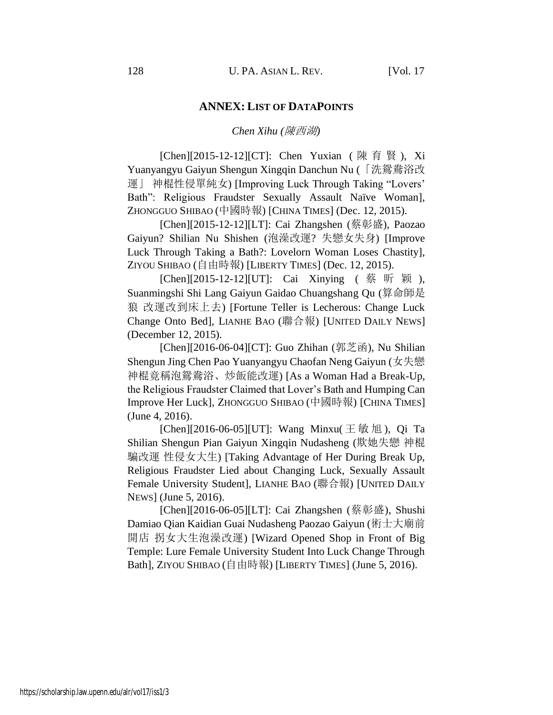## **ANNEX: LIST OF DATAPOINTS**

#### *Chen Xihu (*陳西湖*)*

[Chen][2015-12-12][CT]: Chen Yuxian ( 陳 育 賢 ), Xi Yuanyangyu Gaiyun Shengun Xingqin Danchun Nu (「洗鴛鴦浴改 運」 神棍性侵單純女) [Improving Luck Through Taking "Lovers' Bath": Religious Fraudster Sexually Assault Naïve Woman], ZHONGGUO SHIBAO (中國時報) [CHINA TIMES] (Dec. 12, 2015).

[Chen][2015-12-12][LT]: Cai Zhangshen (蔡彰盛), Paozao Gaiyun? Shilian Nu Shishen (泡澡改運? 失戀女失身) [Improve Luck Through Taking a Bath?: Lovelorn Woman Loses Chastity], ZIYOU SHIBAO (自由時報) [LIBERTY TIMES] (Dec. 12, 2015).

[Chen][2015-12-12][UT]: Cai Xinying (蔡昕颖), Suanmingshi Shi Lang Gaiyun Gaidao Chuangshang Qu (算命師是 狼 改運改到床上去) [Fortune Teller is Lecherous: Change Luck Change Onto Bed], LIANHE BAO (聯合報) [UNITED DAILY NEWS] (December 12, 2015).

[Chen][2016-06-04][CT]: Guo Zhihan (郭芝函), Nu Shilian Shengun Jing Chen Pao Yuanyangyu Chaofan Neng Gaiyun (女失戀 神棍竟稱泡鴛鴦浴、炒飯能改運) [As a Woman Had a Break-Up, the Religious Fraudster Claimed that Lover's Bath and Humping Can Improve Her Luck], ZHONGGUO SHIBAO (中國時報) [CHINA TIMES] (June 4, 2016).

[Chen][2016-06-05][UT]: Wang Minxu(  $\pm \frac{1}{30}$  /  $\pm 0$  Ta Shilian Shengun Pian Gaiyun Xingqin Nudasheng (欺她失戀 神棍 騙改運 性侵女大生) [Taking Advantage of Her During Break Up, Religious Fraudster Lied about Changing Luck, Sexually Assault Female University Student], LIANHE BAO (聯合報) [UNITED DAILY NEWS] (June 5, 2016).

[Chen][2016-06-05][LT]: Cai Zhangshen (蔡彰盛), Shushi Damiao Qian Kaidian Guai Nudasheng Paozao Gaiyun (術士大廟前 開店 拐女大生泡澡改運) [Wizard Opened Shop in Front of Big Temple: Lure Female University Student Into Luck Change Through Bath], ZIYOU SHIBAO (自由時報) [LIBERTY TIMES] (June 5, 2016).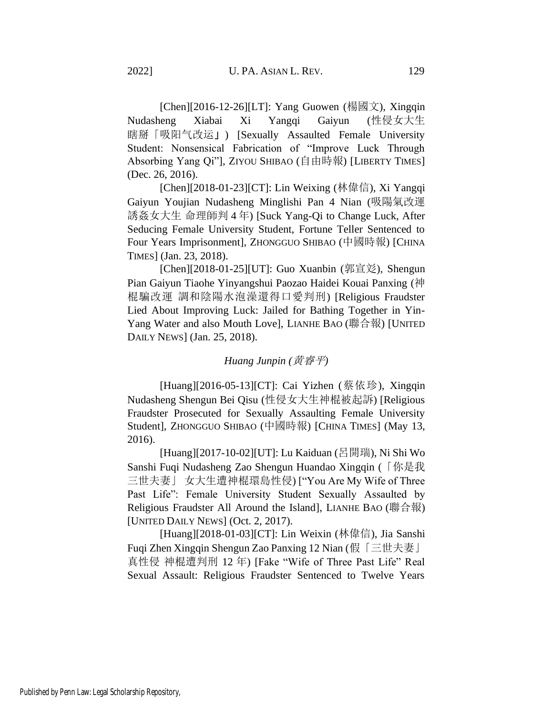[Chen][2016-12-26][LT]: Yang Guowen (楊國文), Xingqin Nudasheng Xiabai Xi Yangqi Gaiyun (性侵女大生 瞎掰「吸阳气改运」) [Sexually Assaulted Female University Student: Nonsensical Fabrication of "Improve Luck Through Absorbing Yang Qi"], ZIYOU SHIBAO (自由時報) [LIBERTY TIMES] (Dec. 26, 2016).

[Chen][2018-01-23][CT]: Lin Weixing (林偉信), Xi Yangqi Gaiyun Youjian Nudasheng Minglishi Pan 4 Nian (吸陽氣改運 誘姦女大生 命理師判 4 年) [Suck Yang-Qi to Change Luck, After Seducing Female University Student, Fortune Teller Sentenced to Four Years Imprisonment], ZHONGGUO SHIBAO (中國時報) [CHINA TIMES] (Jan. 23, 2018).

[Chen][2018-01-25][UT]: Guo Xuanbin (郭宣彣), Shengun Pian Gaiyun Tiaohe Yinyangshui Paozao Haidei Kouai Panxing (神 棍騙改運 調和陰陽水泡澡還得口愛判刑) [Religious Fraudster Lied About Improving Luck: Jailed for Bathing Together in Yin-Yang Water and also Mouth Love], LIANHE BAO (聯合報) [UNITED DAILY NEWS] (Jan. 25, 2018).

# *Huang Junpin (*黄睿平*)*

[Huang][2016-05-13][CT]: Cai Yizhen (蔡依珍), Xingqin Nudasheng Shengun Bei Qisu (性侵女大生神棍被起訴) [Religious Fraudster Prosecuted for Sexually Assaulting Female University Student], ZHONGGUO SHIBAO (中國時報) [CHINA TIMES] (May 13, 2016).

[Huang][2017-10-02][UT]: Lu Kaiduan (呂開瑞), Ni Shi Wo Sanshi Fuqi Nudasheng Zao Shengun Huandao Xingqin (「你是我 三世夫妻」 女大生遭神棍環島性侵) ["You Are My Wife of Three Past Life": Female University Student Sexually Assaulted by Religious Fraudster All Around the Island], LIANHE BAO (聯合報) [UNITED DAILY NEWS] (Oct. 2, 2017).

[Huang][2018-01-03][CT]: Lin Weixin (林偉信), Jia Sanshi Fuqi Zhen Xingqin Shengun Zao Panxing 12 Nian (假「三世夫妻」 真性侵 神棍遭判刑 12 年) [Fake "Wife of Three Past Life" Real Sexual Assault: Religious Fraudster Sentenced to Twelve Years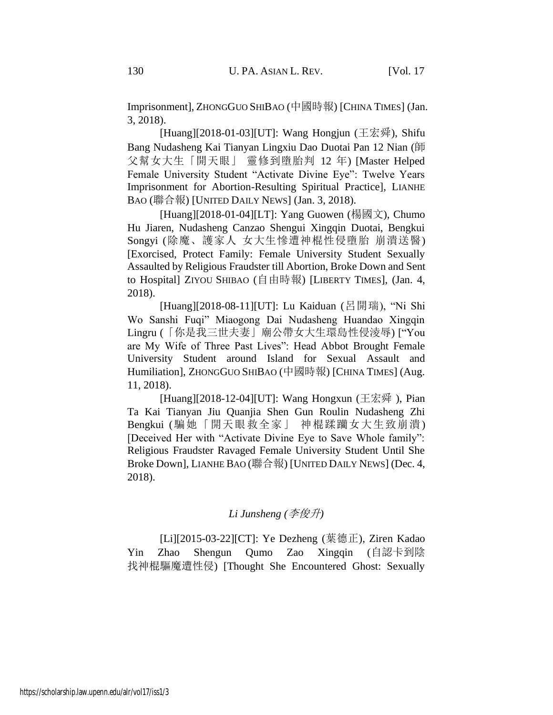Imprisonment], ZHONGGUO SHIBAO (中國時報) [CHINA TIMES] (Jan. 3, 2018).

[Huang][2018-01-03][UT]: Wang Hongjun (王宏舜), Shifu Bang Nudasheng Kai Tianyan Lingxiu Dao Duotai Pan 12 Nian (師 父幫女大生「開天眼」 靈修到墮胎判 12 年) [Master Helped Female University Student "Activate Divine Eye": Twelve Years Imprisonment for Abortion-Resulting Spiritual Practice], LIANHE BAO (聯合報) [UNITED DAILY NEWS] (Jan. 3, 2018).

[Huang][2018-01-04][LT]: Yang Guowen (楊國文), Chumo Hu Jiaren, Nudasheng Canzao Shengui Xingqin Duotai, Bengkui Songyi (除魔、護家人 女大生慘遭神棍性侵墮胎 崩潰送醫) [Exorcised, Protect Family: Female University Student Sexually Assaulted by Religious Fraudster till Abortion, Broke Down and Sent to Hospital] ZIYOU SHIBAO (自由時報) [LIBERTY TIMES], (Jan. 4, 2018).

[Huang][2018-08-11][UT]: Lu Kaiduan (呂開瑞), "Ni Shi Wo Sanshi Fuqi" Miaogong Dai Nudasheng Huandao Xingqin Lingru (「你是我三世夫妻」廟公帶女大生環島性侵淩辱) ["You are My Wife of Three Past Lives": Head Abbot Brought Female University Student around Island for Sexual Assault and Humiliation], ZHONGGUO SHIBAO (中國時報) [CHINA TIMES] (Aug. 11, 2018).

[Huang][2018-12-04][UT]: Wang Hongxun (王宏舜 ), Pian Ta Kai Tianyan Jiu Quanjia Shen Gun Roulin Nudasheng Zhi Bengkui (騙她「開天眼救全家」 神棍蹂躪女大生致崩潰) [Deceived Her with "Activate Divine Eye to Save Whole family": Religious Fraudster Ravaged Female University Student Until She Broke Down], LIANHE BAO (聯合報) [UNITED DAILY NEWS] (Dec. 4, 2018).

# *Li Junsheng (*李俊升*)*

[Li][2015-03-22][CT]: Ye Dezheng (葉德正), Ziren Kadao Yin Zhao Shengun Qumo Zao Xingqin (自認卡到陰 找神棍驅魔遭性侵) [Thought She Encountered Ghost: Sexually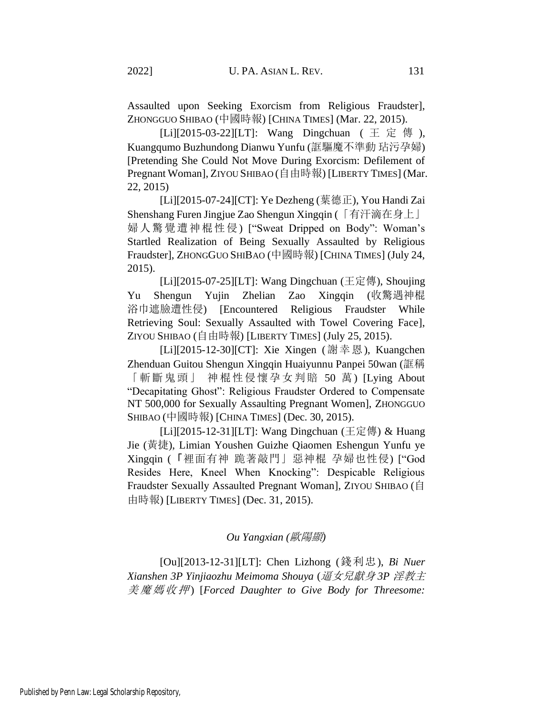Assaulted upon Seeking Exorcism from Religious Fraudster], ZHONGGUO SHIBAO (中國時報) [CHINA TIMES] (Mar. 22, 2015).

[Li][2015-03-22][LT]: Wang Dingchuan (王 定 傳 ), Kuangqumo Buzhundong Dianwu Yunfu (誆驅魔不準動 玷污孕婦) [Pretending She Could Not Move During Exorcism: Defilement of Pregnant Woman], ZIYOU SHIBAO (自由時報) [LIBERTY TIMES] (Mar. 22, 2015)

[Li][2015-07-24][CT]: Ye Dezheng (葉德正), You Handi Zai Shenshang Furen Jingjue Zao Shengun Xingqin (「有汗滴在身上」 婦人驚覺遭神棍性侵) ["Sweat Dripped on Body": Woman's Startled Realization of Being Sexually Assaulted by Religious Fraudster], ZHONGGUO SHIBAO (中國時報) [CHINA TIMES] (July 24, 2015).

[Li][2015-07-25][LT]: Wang Dingchuan (王定傳), Shoujing Yu Shengun Yujin Zhelian Zao Xingqin (收驚遇神棍 浴巾遮臉遭性侵) [Encountered Religious Fraudster While Retrieving Soul: Sexually Assaulted with Towel Covering Face], ZIYOU SHIBAO (自由時報) [LIBERTY TIMES] (July 25, 2015).

[Li][2015-12-30][CT]: Xie Xingen (謝幸恩), Kuangchen Zhenduan Guitou Shengun Xingqin Huaiyunnu Panpei 50wan (誆稱 「斬斷鬼頭」 神棍性侵懷孕女判賠 50 萬) [Lying About "Decapitating Ghost": Religious Fraudster Ordered to Compensate NT 500,000 for Sexually Assaulting Pregnant Women], ZHONGGUO SHIBAO (中國時報) [CHINA TIMES] (Dec. 30, 2015).

[Li][2015-12-31][LT]: Wang Dingchuan (王定傳) & Huang Jie (黃捷), Limian Youshen Guizhe Qiaomen Eshengun Yunfu ye Xingqin (「裡面有神 跪著敲門」惡神棍 孕婦也性侵) ["God Resides Here, Kneel When Knocking": Despicable Religious Fraudster Sexually Assaulted Pregnant Woman], ZIYOU SHIBAO (自 由時報) [LIBERTY TIMES] (Dec. 31, 2015).

### *Ou Yangxian (*歐陽顯*)*

[Ou][2013-12-31][LT]: Chen Lizhong (錢利忠), *Bi Nuer Xianshen 3P Yinjiaozhu Meimoma Shouya* (逼女兒獻身 *3P* 淫教主 美魔媽收押 ) [*Forced Daughter to Give Body for Threesome:*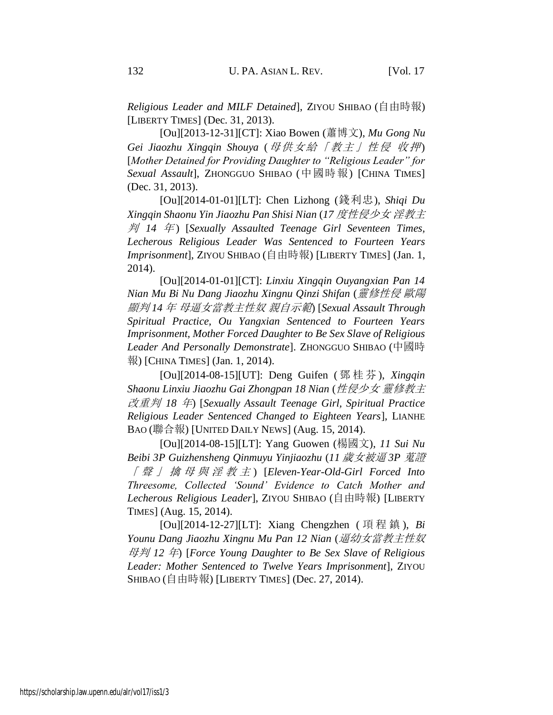*Religious Leader and MILF Detained*], ZIYOU SHIBAO (自由時報) [LIBERTY TIMES] (Dec. 31, 2013).

[Ou][2013-12-31][CT]: Xiao Bowen (蕭博文), *Mu Gong Nu Gei Jiaozhu Xingqin Shouya* (母供女給「教主」性侵 收押) [*Mother Detained for Providing Daughter to "Religious Leader" for Sexual Assault*], ZHONGGUO SHIBAO (中國時報) [CHINA TIMES] (Dec. 31, 2013).

[Ou][2014-01-01][LT]: Chen Lizhong (錢利忠), *Shiqi Du Xingqin Shaonu Yin Jiaozhu Pan Shisi Nian* (*17* 度性侵少女 淫教主 判 *14* 年 ) [*Sexually Assaulted Teenage Girl Seventeen Times, Lecherous Religious Leader Was Sentenced to Fourteen Years Imprisonment*], ZIYOU SHIBAO (自由時報) [LIBERTY TIMES] (Jan. 1, 2014).

[Ou][2014-01-01][CT]: *Linxiu Xingqin Ouyangxian Pan 14 Nian Mu Bi Nu Dang Jiaozhu Xingnu Qinzi Shifan* (靈修性侵 歐陽 顯判 *14* 年 母逼女當教主性奴 親自示範) [*Sexual Assault Through Spiritual Practice, Ou Yangxian Sentenced to Fourteen Years Imprisonment, Mother Forced Daughter to Be Sex Slave of Religious Leader And Personally Demonstrate*]. ZHONGGUO SHIBAO (中國時 報) [CHINA TIMES] (Jan. 1, 2014).

[Ou][2014-08-15][UT]: Deng Guifen ( 鄧 桂 芬 ), *Xingqin Shaonu Linxiu Jiaozhu Gai Zhongpan 18 Nian* (性侵少女 靈修教主 改重判 *18* 年) [*Sexually Assault Teenage Girl, Spiritual Practice Religious Leader Sentenced Changed to Eighteen Years*], LIANHE BAO (聯合報) [UNITED DAILY NEWS] (Aug. 15, 2014).

[Ou][2014-08-15][LT]: Yang Guowen (楊國文), *11 Sui Nu Beibi 3P Guizhensheng Qinmuyu Yinjiaozhu* (*11* 歲女被逼 *3P* 蒐證 「聲」擒母與淫教主 ) [*Eleven-Year-Old-Girl Forced Into Threesome, Collected 'Sound' Evidence to Catch Mother and Lecherous Religious Leader*], ZIYOU SHIBAO (自由時報) [LIBERTY TIMES] (Aug. 15, 2014).

[Ou][2014-12-27][LT]: Xiang Chengzhen ( 項 程 鎮 ), *Bi Younu Dang Jiaozhu Xingnu Mu Pan 12 Nian* (逼幼女當教主性奴 母判 *12* 年) [*Force Young Daughter to Be Sex Slave of Religious Leader: Mother Sentenced to Twelve Years Imprisonment*], ZIYOU SHIBAO (自由時報) [LIBERTY TIMES] (Dec. 27, 2014).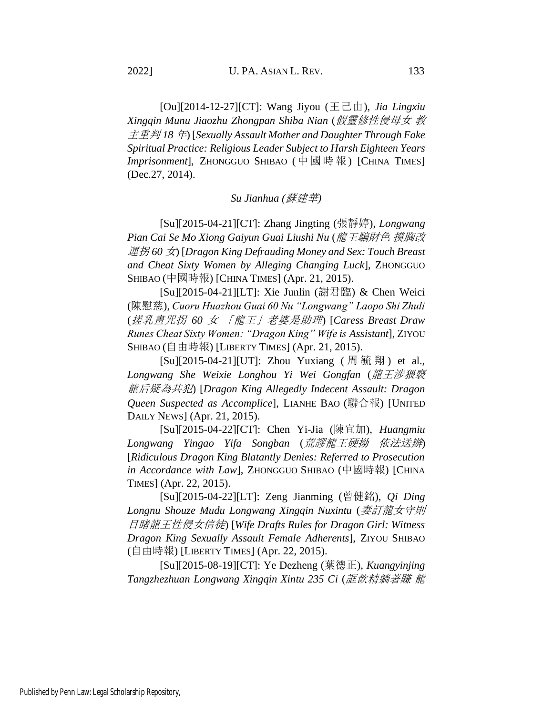[Ou][2014-12-27][CT]: Wang Jiyou (王己由), *Jia Lingxiu Xingqin Munu Jiaozhu Zhongpan Shiba Nian* (假靈修性侵母女 教 主重判 *18* 年) [*Sexually Assault Mother and Daughter Through Fake Spiritual Practice: Religious Leader Subject to Harsh Eighteen Years Imprisonment*], ZHONGGUO SHIBAO ( 中國時報) [CHINA TIMES] (Dec.27, 2014).

# *Su Jianhua (*蘇建華*)*

[Su][2015-04-21][CT]: Zhang Jingting (張靜婷), *Longwang Pian Cai Se Mo Xiong Gaiyun Guai Liushi Nu* (龍王騙財色 摸胸改 運拐 *60* 女) [*Dragon King Defrauding Money and Sex: Touch Breast and Cheat Sixty Women by Alleging Changing Luck*], ZHONGGUO SHIBAO (中國時報) [CHINA TIMES] (Apr. 21, 2015).

[Su][2015-04-21][LT]: Xie Junlin (謝君臨) & Chen Weici (陳慰慈), *Cuoru Huazhou Guai 60 Nu "Longwang" Laopo Shi Zhuli* (搓乳畫咒拐 *60* 女 「龍王」老婆是助理) [*Caress Breast Draw Runes Cheat Sixty Women: "Dragon King" Wife is Assistant*], ZIYOU SHIBAO (自由時報) [LIBERTY TIMES] (Apr. 21, 2015).

[Su][2015-04-21][UT]: Zhou Yuxiang (周毓翔) et al., *Longwang She Weixie Longhou Yi Wei Gongfan* (龍王涉猥褻 龍后疑為共犯) [*Dragon King Allegedly Indecent Assault: Dragon Queen Suspected as Accomplice*], LIANHE BAO (聯合報) [UNITED DAILY NEWS] (Apr. 21, 2015).

[Su][2015-04-22][CT]: Chen Yi-Jia (陳宜加), *Huangmiu Longwang Yingao Yifa Songban* (荒謬龍王硬拗 依法送辦) [*Ridiculous Dragon King Blatantly Denies: Referred to Prosecution in Accordance with Law*], ZHONGGUO SHIBAO (中國時報) [CHINA TIMES] (Apr. 22, 2015).

[Su][2015-04-22][LT]: Zeng Jianming (曾健銘), *Qi Ding Longnu Shouze Mudu Longwang Xingqin Nuxintu* (妻訂龍女守則 目睹龍王性侵女信徒) [*Wife Drafts Rules for Dragon Girl: Witness Dragon King Sexually Assault Female Adherents*], ZIYOU SHIBAO (自由時報) [LIBERTY TIMES] (Apr. 22, 2015).

[Su][2015-08-19][CT]: Ye Dezheng (葉德正), *Kuangyinjing Tangzhezhuan Longwang Xingqin Xintu 235 Ci* (誆飲精躺著賺 龍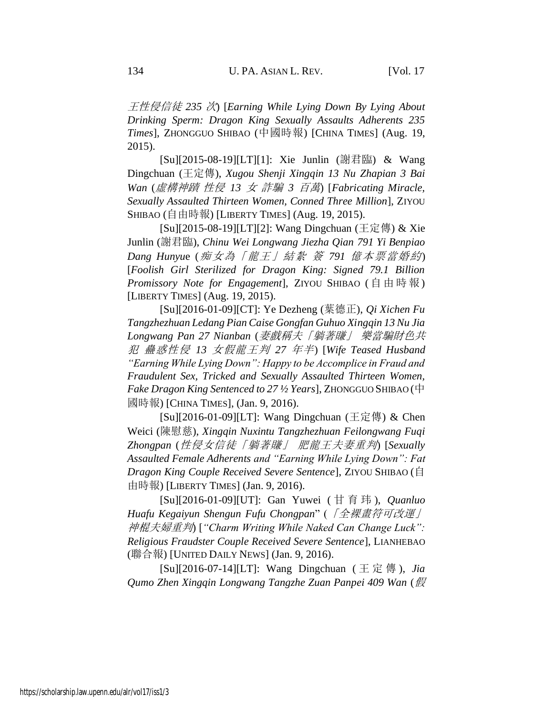王性侵信徒 *235* 次) [*Earning While Lying Down By Lying About Drinking Sperm: Dragon King Sexually Assaults Adherents 235 Times*], ZHONGGUO SHIBAO (中國時報) [CHINA TIMES] (Aug. 19, 2015).

[Su][2015-08-19][LT][1]: Xie Junlin (謝君臨) & Wang Dingchuan (王定傳), *Xugou Shenji Xingqin 13 Nu Zhapian 3 Bai Wan* (虛構神蹟 性侵 *13* 女 詐騙 *3* 百萬) [*Fabricating Miracle, Sexually Assaulted Thirteen Women, Conned Three Million*], ZIYOU SHIBAO (自由時報) [LIBERTY TIMES] (Aug. 19, 2015).

[Su][2015-08-19][LT][2]: Wang Dingchuan (王定傳) & Xie Junlin (謝君臨), *Chinu Wei Longwang Jiezha Qian 791 Yi Benpiao Dang Hunyu*e (痴女為「龍王」結紮 簽 *791* 億本票當婚約) [*Foolish Girl Sterilized for Dragon King: Signed 79.1 Billion Promissory Note for Engagement*], ZIYOU SHIBAO (自由時報) [LIBERTY TIMES] (Aug. 19, 2015).

[Su][2016-01-09][CT]: Ye Dezheng (葉德正), *Qi Xichen Fu Tangzhezhuan Ledang Pian Caise Gongfan Guhuo Xingqin 13 Nu Jia Longwang Pan 27 Nianban* (妻戲稱夫「躺著賺」 樂當騙財色共 犯 蠱惑性侵 *13* 女假龍王判 *27* 年半) [*Wife Teased Husband "Earning While Lying Down": Happy to be Accomplice in Fraud and Fraudulent Sex, Tricked and Sexually Assaulted Thirteen Women, Fake Dragon King Sentenced to 27 ½ Years*], ZHONGGUO SHIBAO (中 國時報) [CHINA TIMES], (Jan. 9, 2016).

[Su][2016-01-09][LT]: Wang Dingchuan (王定傳) & Chen Weici (陳慰慈), *Xingqin Nuxintu Tangzhezhuan Feilongwang Fuqi Zhongpan* (性侵女信徒「躺著賺」 肥龍王夫妻重判) [*Sexually Assaulted Female Adherents and "Earning While Lying Down": Fat Dragon King Couple Received Severe Sentence*], ZIYOU SHIBAO (自 由時報) [LIBERTY TIMES] (Jan. 9, 2016).

[Su][2016-01-09][UT]: Gan Yuwei ( 甘育玮 ), *Quanluo Huafu Kegaiyun Shengun Fufu Chongpan*" (「全裸畫符可改運」 神棍夫婦重判) [*"Charm Writing While Naked Can Change Luck": Religious Fraudster Couple Received Severe Sentence*], LIANHEBAO (聯合報) [UNITED DAILY NEWS] (Jan. 9, 2016).

[Su][2016-07-14][LT]: Wang Dingchuan ( 王 定 傳 ), *Jia Qumo Zhen Xingqin Longwang Tangzhe Zuan Panpei 409 Wan* (假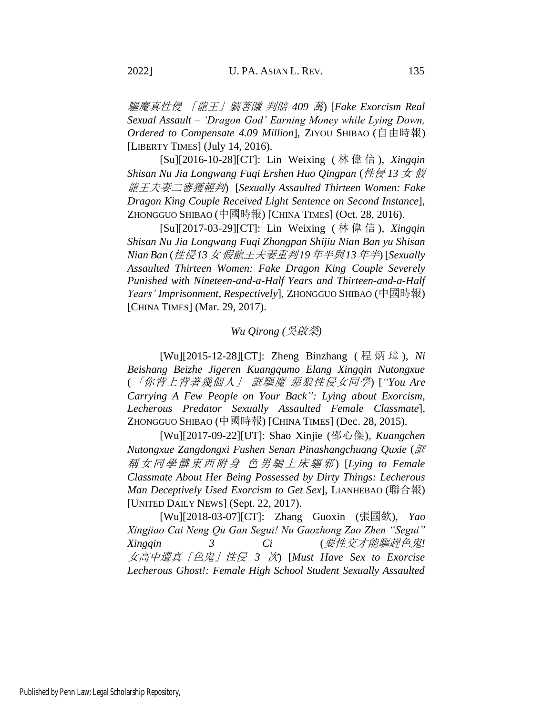驅魔真性侵 「龍王」躺著賺 判賠 *409* 萬) [*Fake Exorcism Real Sexual Assault – 'Dragon God' Earning Money while Lying Down, Ordered to Compensate 4.09 Million*], ZIYOU SHIBAO (自由時報) [LIBERTY TIMES] (July 14, 2016).

[Su][2016-10-28][CT]: Lin Weixing ( 林偉信 ), *Xingqin Shisan Nu Jia Longwang Fuqi Ershen Huo Qingpan* (性侵 *13* 女 假 龍王夫妻二審獲輕判) [*Sexually Assaulted Thirteen Women: Fake Dragon King Couple Received Light Sentence on Second Instance*], ZHONGGUO SHIBAO (中國時報) [CHINA TIMES] (Oct. 28, 2016).

[Su][2017-03-29][CT]: Lin Weixing ( 林偉信 ), *Xingqin Shisan Nu Jia Longwang Fuqi Zhongpan Shijiu Nian Ban yu Shisan Nian Ban* (性侵*13*女 假龍王夫妻重判*19*年半與*13*年半) [*Sexually Assaulted Thirteen Women: Fake Dragon King Couple Severely Punished with Nineteen-and-a-Half Years and Thirteen-and-a-Half Years' Imprisonment, Respectively*], ZHONGGUO SHIBAO (中國時報) [CHINA TIMES] (Mar. 29, 2017).

## *Wu Qirong (*吳啟榮*)*

[Wu][2015-12-28][CT]: Zheng Binzhang ( 程炳璋 ), *Ni Beishang Beizhe Jigeren Kuangqumo Elang Xingqin Nutongxue* (「你背上背著幾個人」 誆驅魔 惡狼性侵女同學) [*"You Are Carrying A Few People on Your Back": Lying about Exorcism, Lecherous Predator Sexually Assaulted Female Classmate*], ZHONGGUO SHIBAO (中國時報) [CHINA TIMES] (Dec. 28, 2015).

[Wu][2017-09-22][UT]: Shao Xinjie (邵心傑), *Kuangchen Nutongxue Zangdongxi Fushen Senan Pinashangchuang Quxie* (誆 稱女同學髒東西附身 色男騙上床驅邪 ) [*Lying to Female Classmate About Her Being Possessed by Dirty Things: Lecherous Man Deceptively Used Exorcism to Get Sex*], LIANHEBAO (聯合報) [UNITED DAILY NEWS] (Sept. 22, 2017).

[Wu][2018-03-07][CT]: Zhang Guoxin (張國欽), *Yao Xingjiao Cai Neng Qu Gan Segui! Nu Gaozhong Zao Zhen "Segui" Xingqin 3 Ci* (要性交才能驅趕色鬼*!*  女高中遭真「色鬼」性侵 *3* 次) [*Must Have Sex to Exorcise Lecherous Ghost!: Female High School Student Sexually Assaulted*